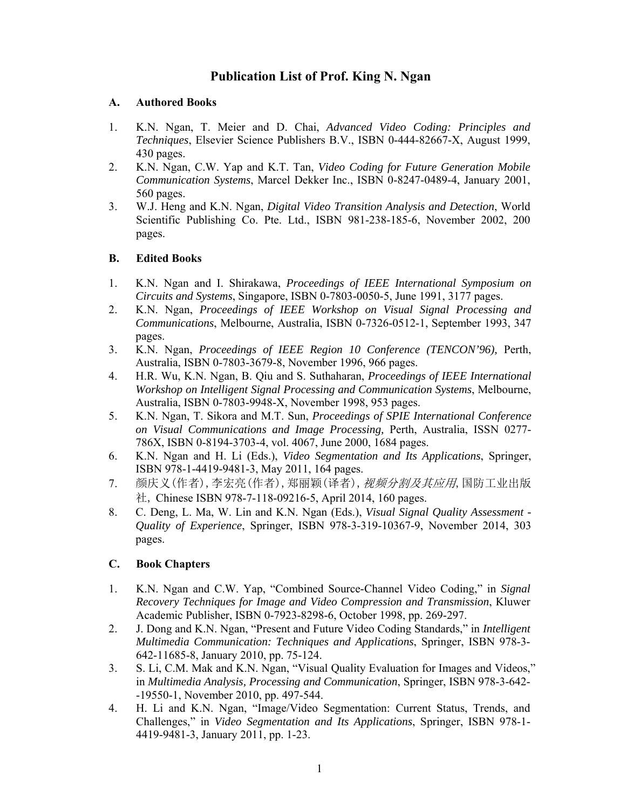# **Publication List of Prof. King N. Ngan**

## **A. Authored Books**

- 1. K.N. Ngan, T. Meier and D. Chai, *Advanced Video Coding: Principles and Techniques*, Elsevier Science Publishers B.V., ISBN 0-444-82667-X, August 1999, 430 pages.
- 2. K.N. Ngan, C.W. Yap and K.T. Tan, *Video Coding for Future Generation Mobile Communication Systems*, Marcel Dekker Inc., ISBN 0-8247-0489-4, January 2001, 560 pages.
- 3. W.J. Heng and K.N. Ngan, *Digital Video Transition Analysis and Detection*, World Scientific Publishing Co. Pte. Ltd., ISBN 981-238-185-6, November 2002, 200 pages.

# **B. Edited Books**

- 1. K.N. Ngan and I. Shirakawa, *Proceedings of IEEE International Symposium on Circuits and Systems*, Singapore, ISBN 0-7803-0050-5, June 1991, 3177 pages.
- 2. K.N. Ngan, *Proceedings of IEEE Workshop on Visual Signal Processing and Communications*, Melbourne, Australia, ISBN 0-7326-0512-1, September 1993, 347 pages.
- 3. K.N. Ngan, *Proceedings of IEEE Region 10 Conference (TENCON'96),* Perth, Australia, ISBN 0-7803-3679-8, November 1996, 966 pages.
- 4. H.R. Wu, K.N. Ngan, B. Qiu and S. Suthaharan, *Proceedings of IEEE International Workshop on Intelligent Signal Processing and Communication Systems*, Melbourne, Australia, ISBN 0-7803-9948-X, November 1998, 953 pages.
- 5. K.N. Ngan, T. Sikora and M.T. Sun, *Proceedings of SPIE International Conference on Visual Communications and Image Processing,* Perth, Australia, ISSN 0277- 786X, ISBN 0-8194-3703-4, vol. 4067, June 2000, 1684 pages.
- 6. K.N. Ngan and H. Li (Eds.), *Video Segmentation and Its Applications*, Springer, ISBN 978-1-4419-9481-3, May 2011, 164 pages.
- 7. 颜庆义(作者),李宏亮(作者),郑丽颖(译者), 视频分割及其应用,国防工业出版 社, Chinese ISBN 978-7-118-09216-5, April 2014, 160 pages.
- 8. C. Deng, L. Ma, W. Lin and K.N. Ngan (Eds.), *Visual Signal Quality Assessment Quality of Experience*, Springer, ISBN 978-3-319-10367-9, November 2014, 303 pages.

#### **C. Book Chapters**

- 1. K.N. Ngan and C.W. Yap, "Combined Source-Channel Video Coding," in *Signal Recovery Techniques for Image and Video Compression and Transmission*, Kluwer Academic Publisher, ISBN 0-7923-8298-6, October 1998, pp. 269-297.
- 2. J. Dong and K.N. Ngan, "Present and Future Video Coding Standards," in *Intelligent Multimedia Communication: Techniques and Applications*, Springer, ISBN 978-3- 642-11685-8, January 2010, pp. 75-124.
- 3. S. Li, C.M. Mak and K.N. Ngan, "Visual Quality Evaluation for Images and Videos," in *Multimedia Analysis, Processing and Communication*, Springer, ISBN 978-3-642- -19550-1, November 2010, pp. 497-544.
- 4. H. Li and K.N. Ngan, "Image/Video Segmentation: Current Status, Trends, and Challenges," in *Video Segmentation and Its Applications*, Springer, ISBN 978-1- 4419-9481-3, January 2011, pp. 1-23.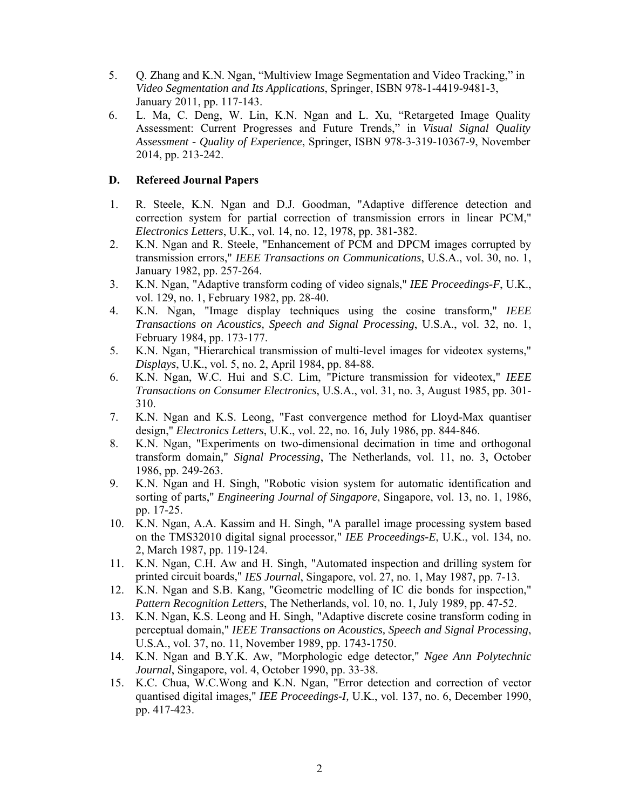- 5. Q. Zhang and K.N. Ngan, "Multiview Image Segmentation and Video Tracking," in *Video Segmentation and Its Applications*, Springer, ISBN 978-1-4419-9481-3, January 2011, pp. 117-143.
- 6. L. Ma, C. Deng, W. Lin, K.N. Ngan and L. Xu, "Retargeted Image Quality Assessment: Current Progresses and Future Trends," in *Visual Signal Quality Assessment - Quality of Experience*, Springer, ISBN 978-3-319-10367-9, November 2014, pp. 213-242.

## **D. Refereed Journal Papers**

- 1. R. Steele, K.N. Ngan and D.J. Goodman, "Adaptive difference detection and correction system for partial correction of transmission errors in linear PCM," *Electronics Letters*, U.K., vol. 14, no. 12, 1978, pp. 381-382.
- 2. K.N. Ngan and R. Steele, "Enhancement of PCM and DPCM images corrupted by transmission errors," *IEEE Transactions on Communications*, U.S.A., vol. 30, no. 1, January 1982, pp. 257-264.
- 3. K.N. Ngan, "Adaptive transform coding of video signals," *IEE Proceedings-F*, U.K., vol. 129, no. 1, February 1982, pp. 28-40.
- 4. K.N. Ngan, "Image display techniques using the cosine transform," *IEEE Transactions on Acoustics, Speech and Signal Processing*, U.S.A., vol. 32, no. 1, February 1984, pp. 173-177.
- 5. K.N. Ngan, "Hierarchical transmission of multi-level images for videotex systems," *Displays*, U.K., vol. 5, no. 2, April 1984, pp. 84-88.
- 6. K.N. Ngan, W.C. Hui and S.C. Lim, "Picture transmission for videotex," *IEEE Transactions on Consumer Electronics*, U.S.A., vol. 31, no. 3, August 1985, pp. 301- 310.
- 7. K.N. Ngan and K.S. Leong, "Fast convergence method for Lloyd-Max quantiser design," *Electronics Letters*, U.K., vol. 22, no. 16, July 1986, pp. 844-846.
- 8. K.N. Ngan, "Experiments on two-dimensional decimation in time and orthogonal transform domain," *Signal Processing*, The Netherlands, vol. 11, no. 3, October 1986, pp. 249-263.
- 9. K.N. Ngan and H. Singh, "Robotic vision system for automatic identification and sorting of parts," *Engineering Journal of Singapore*, Singapore, vol. 13, no. 1, 1986, pp. 17-25.
- 10. K.N. Ngan, A.A. Kassim and H. Singh, "A parallel image processing system based on the TMS32010 digital signal processor," *IEE Proceedings-E*, U.K., vol. 134, no. 2, March 1987, pp. 119-124.
- 11. K.N. Ngan, C.H. Aw and H. Singh, "Automated inspection and drilling system for printed circuit boards," *IES Journal*, Singapore, vol. 27, no. 1, May 1987, pp. 7-13.
- 12. K.N. Ngan and S.B. Kang, "Geometric modelling of IC die bonds for inspection," *Pattern Recognition Letters*, The Netherlands, vol. 10, no. 1, July 1989, pp. 47-52.
- 13. K.N. Ngan, K.S. Leong and H. Singh, "Adaptive discrete cosine transform coding in perceptual domain," *IEEE Transactions on Acoustics, Speech and Signal Processing*, U.S.A., vol. 37, no. 11, November 1989, pp. 1743-1750.
- 14. K.N. Ngan and B.Y.K. Aw, "Morphologic edge detector," *Ngee Ann Polytechnic Journal*, Singapore, vol. 4, October 1990, pp. 33-38.
- 15. K.C. Chua, W.C.Wong and K.N. Ngan, "Error detection and correction of vector quantised digital images," *IEE Proceedings-I,* U.K., vol. 137, no. 6, December 1990, pp. 417-423.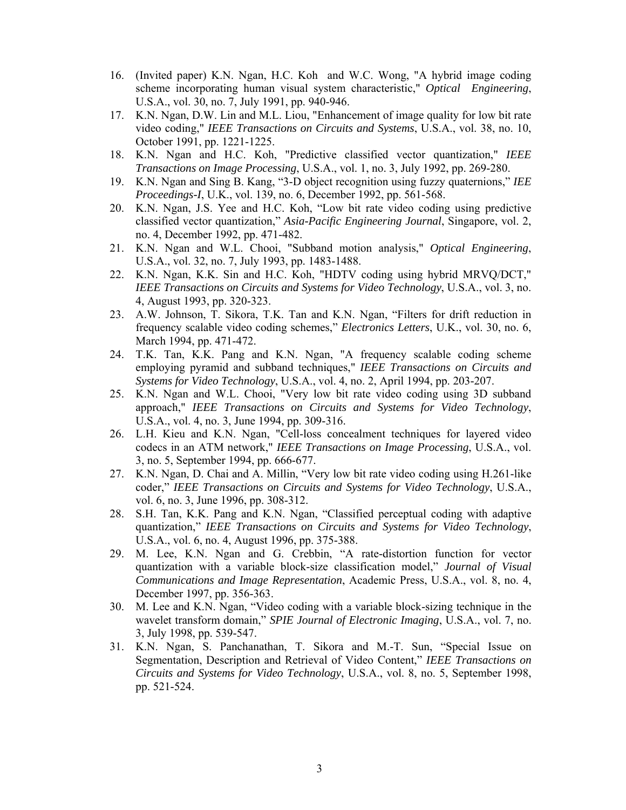- 16. (Invited paper) K.N. Ngan, H.C. Koh and W.C. Wong, "A hybrid image coding scheme incorporating human visual system characteristic," *Optical Engineering*, U.S.A., vol. 30, no. 7, July 1991, pp. 940-946.
- 17. K.N. Ngan, D.W. Lin and M.L. Liou, "Enhancement of image quality for low bit rate video coding," *IEEE Transactions on Circuits and Systems*, U.S.A., vol. 38, no. 10, October 1991, pp. 1221-1225.
- 18. K.N. Ngan and H.C. Koh, "Predictive classified vector quantization," *IEEE Transactions on Image Processing*, U.S.A., vol. 1, no. 3, July 1992, pp. 269-280.
- 19. K.N. Ngan and Sing B. Kang, "3-D object recognition using fuzzy quaternions," *IEE Proceedings-I*, U.K., vol. 139, no. 6, December 1992, pp. 561-568.
- 20. K.N. Ngan, J.S. Yee and H.C. Koh, "Low bit rate video coding using predictive classified vector quantization," *Asia-Pacific Engineering Journal*, Singapore, vol. 2, no. 4, December 1992, pp. 471-482.
- 21. K.N. Ngan and W.L. Chooi, "Subband motion analysis," *Optical Engineering*, U.S.A., vol. 32, no. 7, July 1993, pp. 1483-1488.
- 22. K.N. Ngan, K.K. Sin and H.C. Koh, "HDTV coding using hybrid MRVQ/DCT," *IEEE Transactions on Circuits and Systems for Video Technology*, U.S.A., vol. 3, no. 4, August 1993, pp. 320-323.
- 23. A.W. Johnson, T. Sikora, T.K. Tan and K.N. Ngan, "Filters for drift reduction in frequency scalable video coding schemes," *Electronics Letters*, U.K., vol. 30, no. 6, March 1994, pp. 471-472.
- 24. T.K. Tan, K.K. Pang and K.N. Ngan, "A frequency scalable coding scheme employing pyramid and subband techniques," *IEEE Transactions on Circuits and Systems for Video Technology*, U.S.A., vol. 4, no. 2, April 1994, pp. 203-207.
- 25. K.N. Ngan and W.L. Chooi, "Very low bit rate video coding using 3D subband approach," *IEEE Transactions on Circuits and Systems for Video Technology*, U.S.A., vol. 4, no. 3, June 1994, pp. 309-316.
- 26. L.H. Kieu and K.N. Ngan, "Cell-loss concealment techniques for layered video codecs in an ATM network," *IEEE Transactions on Image Processing*, U.S.A., vol. 3, no. 5, September 1994, pp. 666-677.
- 27. K.N. Ngan, D. Chai and A. Millin, "Very low bit rate video coding using H.261-like coder," *IEEE Transactions on Circuits and Systems for Video Technology*, U.S.A., vol. 6, no. 3, June 1996, pp. 308-312.
- 28. S.H. Tan, K.K. Pang and K.N. Ngan, "Classified perceptual coding with adaptive quantization," *IEEE Transactions on Circuits and Systems for Video Technology*, U.S.A., vol. 6, no. 4, August 1996, pp. 375-388.
- 29. M. Lee, K.N. Ngan and G. Crebbin, "A rate-distortion function for vector quantization with a variable block-size classification model," *Journal of Visual Communications and Image Representation*, Academic Press, U.S.A., vol. 8, no. 4, December 1997, pp. 356-363.
- 30. M. Lee and K.N. Ngan, "Video coding with a variable block-sizing technique in the wavelet transform domain," *SPIE Journal of Electronic Imaging*, U.S.A., vol. 7, no. 3, July 1998, pp. 539-547.
- 31. K.N. Ngan, S. Panchanathan, T. Sikora and M.-T. Sun, "Special Issue on Segmentation, Description and Retrieval of Video Content," *IEEE Transactions on Circuits and Systems for Video Technology*, U.S.A., vol. 8, no. 5, September 1998, pp. 521-524.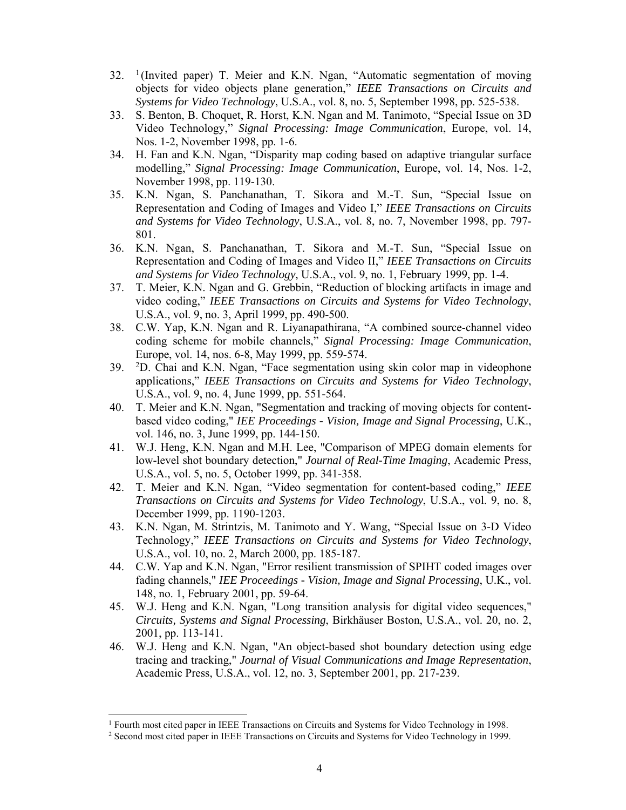- $32.$  <sup>1</sup> (Invited paper) T. Meier and K.N. Ngan, "Automatic segmentation of moving objects for video objects plane generation," *IEEE Transactions on Circuits and Systems for Video Technology*, U.S.A., vol. 8, no. 5, September 1998, pp. 525-538.
- 33. S. Benton, B. Choquet, R. Horst, K.N. Ngan and M. Tanimoto, "Special Issue on 3D Video Technology," *Signal Processing: Image Communication*, Europe, vol. 14, Nos. 1-2, November 1998, pp. 1-6.
- 34. H. Fan and K.N. Ngan, "Disparity map coding based on adaptive triangular surface modelling," *Signal Processing: Image Communication*, Europe, vol. 14, Nos. 1-2, November 1998, pp. 119-130.
- 35. K.N. Ngan, S. Panchanathan, T. Sikora and M.-T. Sun, "Special Issue on Representation and Coding of Images and Video I," *IEEE Transactions on Circuits and Systems for Video Technology*, U.S.A., vol. 8, no. 7, November 1998, pp. 797- 801.
- 36. K.N. Ngan, S. Panchanathan, T. Sikora and M.-T. Sun, "Special Issue on Representation and Coding of Images and Video II," *IEEE Transactions on Circuits and Systems for Video Technology*, U.S.A., vol. 9, no. 1, February 1999, pp. 1-4.
- 37. T. Meier, K.N. Ngan and G. Grebbin, "Reduction of blocking artifacts in image and video coding," *IEEE Transactions on Circuits and Systems for Video Technology*, U.S.A., vol. 9, no. 3, April 1999, pp. 490-500.
- 38. C.W. Yap, K.N. Ngan and R. Liyanapathirana, "A combined source-channel video coding scheme for mobile channels," *Signal Processing: Image Communication*, Europe, vol. 14, nos. 6-8, May 1999, pp. 559-574.
- 39. 2D. Chai and K.N. Ngan, "Face segmentation using skin color map in videophone applications," *IEEE Transactions on Circuits and Systems for Video Technology*, U.S.A., vol. 9, no. 4, June 1999, pp. 551-564.
- 40. T. Meier and K.N. Ngan, "Segmentation and tracking of moving objects for contentbased video coding," *IEE Proceedings - Vision, Image and Signal Processing*, U.K., vol. 146, no. 3, June 1999, pp. 144-150.
- 41. W.J. Heng, K.N. Ngan and M.H. Lee, "Comparison of MPEG domain elements for low-level shot boundary detection," *Journal of Real-Time Imaging*, Academic Press, U.S.A., vol. 5, no. 5, October 1999, pp. 341-358.
- 42. T. Meier and K.N. Ngan, "Video segmentation for content-based coding," *IEEE Transactions on Circuits and Systems for Video Technology*, U.S.A., vol. 9, no. 8, December 1999, pp. 1190-1203.
- 43. K.N. Ngan, M. Strintzis, M. Tanimoto and Y. Wang, "Special Issue on 3-D Video Technology," *IEEE Transactions on Circuits and Systems for Video Technology*, U.S.A., vol. 10, no. 2, March 2000, pp. 185-187.
- 44. C.W. Yap and K.N. Ngan, "Error resilient transmission of SPIHT coded images over fading channels," *IEE Proceedings - Vision, Image and Signal Processing*, U.K., vol. 148, no. 1, February 2001, pp. 59-64.
- 45. W.J. Heng and K.N. Ngan, "Long transition analysis for digital video sequences," *Circuits, Systems and Signal Processing*, Birkhäuser Boston, U.S.A., vol. 20, no. 2, 2001, pp. 113-141.
- 46. W.J. Heng and K.N. Ngan, "An object-based shot boundary detection using edge tracing and tracking," *Journal of Visual Communications and Image Representation*, Academic Press, U.S.A., vol. 12, no. 3, September 2001, pp. 217-239.

 $\overline{a}$ 

<sup>&</sup>lt;sup>1</sup> Fourth most cited paper in IEEE Transactions on Circuits and Systems for Video Technology in 1998.<br><sup>2</sup> Second most cited paper in IEEE Transactions on Circuits and Systems for Video Technology in 1999.

<sup>&</sup>lt;sup>2</sup> Second most cited paper in IEEE Transactions on Circuits and Systems for Video Technology in 1999.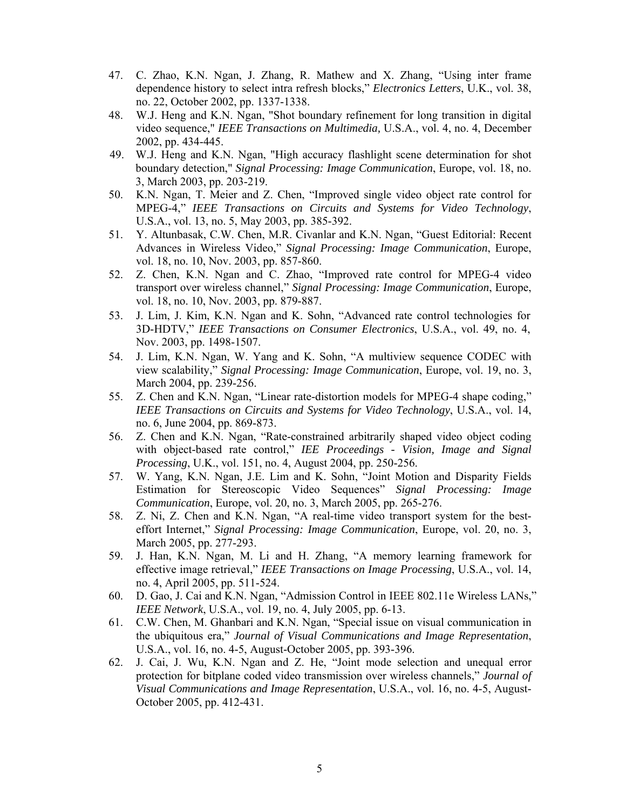- 47. C. Zhao, K.N. Ngan, J. Zhang, R. Mathew and X. Zhang, "Using inter frame dependence history to select intra refresh blocks," *Electronics Letters*, U.K., vol. 38, no. 22, October 2002, pp. 1337-1338.
- 48. W.J. Heng and K.N. Ngan, "Shot boundary refinement for long transition in digital video sequence," *IEEE Transactions on Multimedia,* U.S.A., vol. 4, no. 4, December 2002, pp. 434-445.
- 49. W.J. Heng and K.N. Ngan, "High accuracy flashlight scene determination for shot boundary detection," *Signal Processing: Image Communication*, Europe, vol. 18, no. 3, March 2003, pp. 203-219.
- 50. K.N. Ngan, T. Meier and Z. Chen, "Improved single video object rate control for MPEG-4," *IEEE Transactions on Circuits and Systems for Video Technology*, U.S.A., vol. 13, no. 5, May 2003, pp. 385-392.
- 51. Y. Altunbasak, C.W. Chen, M.R. Civanlar and K.N. Ngan, "Guest Editorial: Recent Advances in Wireless Video," *Signal Processing: Image Communication*, Europe, vol. 18, no. 10, Nov. 2003, pp. 857-860.
- 52. Z. Chen, K.N. Ngan and C. Zhao, "Improved rate control for MPEG-4 video transport over wireless channel," *Signal Processing: Image Communication*, Europe, vol. 18, no. 10, Nov. 2003, pp. 879-887.
- 53. J. Lim, J. Kim, K.N. Ngan and K. Sohn, "Advanced rate control technologies for 3D-HDTV," *IEEE Transactions on Consumer Electronics*, U.S.A., vol. 49, no. 4, Nov. 2003, pp. 1498-1507.
- 54. J. Lim, K.N. Ngan, W. Yang and K. Sohn, "A multiview sequence CODEC with view scalability," *Signal Processing: Image Communication*, Europe, vol. 19, no. 3, March 2004, pp. 239-256.
- 55. Z. Chen and K.N. Ngan, "Linear rate-distortion models for MPEG-4 shape coding," *IEEE Transactions on Circuits and Systems for Video Technology*, U.S.A., vol. 14, no. 6, June 2004, pp. 869-873.
- 56. Z. Chen and K.N. Ngan, "Rate-constrained arbitrarily shaped video object coding with object-based rate control," *IEE Proceedings - Vision, Image and Signal Processing*, U.K., vol. 151, no. 4, August 2004, pp. 250-256.
- 57. W. Yang, K.N. Ngan, J.E. Lim and K. Sohn, "Joint Motion and Disparity Fields Estimation for Stereoscopic Video Sequences" *Signal Processing: Image Communication*, Europe, vol. 20, no. 3, March 2005, pp. 265-276.
- 58. Z. Ni, Z. Chen and K.N. Ngan, "A real-time video transport system for the besteffort Internet," *Signal Processing: Image Communication*, Europe, vol. 20, no. 3, March 2005, pp. 277-293.
- 59. J. Han, K.N. Ngan, M. Li and H. Zhang, "A memory learning framework for effective image retrieval," *IEEE Transactions on Image Processing*, U.S.A., vol. 14, no. 4, April 2005, pp. 511-524.
- 60. D. Gao, J. Cai and K.N. Ngan, "Admission Control in IEEE 802.11e Wireless LANs," *IEEE Network*, U.S.A., vol. 19, no. 4, July 2005, pp. 6-13.
- 61. C.W. Chen, M. Ghanbari and K.N. Ngan, "Special issue on visual communication in the ubiquitous era," *Journal of Visual Communications and Image Representation*, U.S.A., vol. 16, no. 4-5, August-October 2005, pp. 393-396.
- 62. J. Cai, J. Wu, K.N. Ngan and Z. He, "Joint mode selection and unequal error protection for bitplane coded video transmission over wireless channels," *Journal of Visual Communications and Image Representation*, U.S.A., vol. 16, no. 4-5, August-October 2005, pp. 412-431.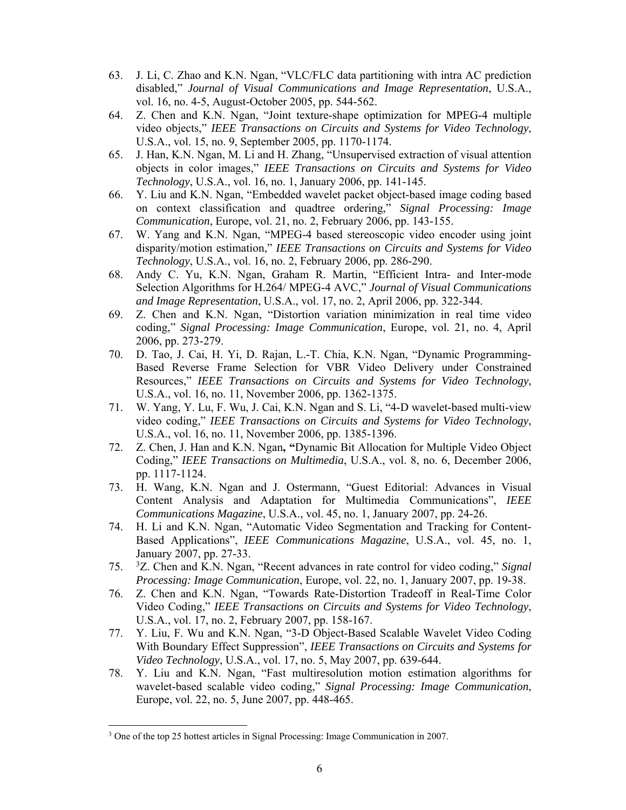- 63. J. Li, C. Zhao and K.N. Ngan, "VLC/FLC data partitioning with intra AC prediction disabled," *Journal of Visual Communications and Image Representation*, U.S.A., vol. 16, no. 4-5, August-October 2005, pp. 544-562.
- 64. Z. Chen and K.N. Ngan, "Joint texture-shape optimization for MPEG-4 multiple video objects," *IEEE Transactions on Circuits and Systems for Video Technology*, U.S.A., vol. 15, no. 9, September 2005, pp. 1170-1174.
- 65. J. Han, K.N. Ngan, M. Li and H. Zhang, "Unsupervised extraction of visual attention objects in color images," *IEEE Transactions on Circuits and Systems for Video Technology*, U.S.A., vol. 16, no. 1, January 2006, pp. 141-145.
- 66. Y. Liu and K.N. Ngan, "Embedded wavelet packet object-based image coding based on context classification and quadtree ordering," *Signal Processing: Image Communication*, Europe, vol. 21, no. 2, February 2006, pp. 143-155.
- 67. W. Yang and K.N. Ngan, "MPEG-4 based stereoscopic video encoder using joint disparity/motion estimation," *IEEE Transactions on Circuits and Systems for Video Technology*, U.S.A., vol. 16, no. 2, February 2006, pp. 286-290.
- 68. Andy C. Yu, K.N. Ngan, Graham R. Martin, "Efficient Intra- and Inter-mode Selection Algorithms for H.264/ MPEG-4 AVC," *Journal of Visual Communications and Image Representation*, U.S.A., vol. 17, no. 2, April 2006, pp. 322-344.
- 69. Z. Chen and K.N. Ngan, "Distortion variation minimization in real time video coding," *Signal Processing: Image Communication*, Europe, vol. 21, no. 4, April 2006, pp. 273-279.
- 70. D. Tao, J. Cai, H. Yi, D. Rajan, L.-T. Chia, K.N. Ngan, "Dynamic Programming-Based Reverse Frame Selection for VBR Video Delivery under Constrained Resources," *IEEE Transactions on Circuits and Systems for Video Technology*, U.S.A., vol. 16, no. 11, November 2006, pp. 1362-1375.
- 71. W. Yang, Y. Lu, F. Wu, J. Cai, K.N. Ngan and S. Li, "4-D wavelet-based multi-view video coding," *IEEE Transactions on Circuits and Systems for Video Technology*, U.S.A., vol. 16, no. 11, November 2006, pp. 1385-1396.
- 72. Z. Chen, J. Han and K.N. Ngan**, "**Dynamic Bit Allocation for Multiple Video Object Coding," *IEEE Transactions on Multimedia*, U.S.A., vol. 8, no. 6, December 2006, pp. 1117-1124.
- 73. H. Wang, K.N. Ngan and J. Ostermann, "Guest Editorial: Advances in Visual Content Analysis and Adaptation for Multimedia Communications", *IEEE Communications Magazine*, U.S.A., vol. 45, no. 1, January 2007, pp. 24-26.
- 74. H. Li and K.N. Ngan, "Automatic Video Segmentation and Tracking for Content-Based Applications", *IEEE Communications Magazine*, U.S.A., vol. 45, no. 1, January 2007, pp. 27-33.
- 75. <sup>3</sup> Z. Chen and K.N. Ngan, "Recent advances in rate control for video coding," *Signal Processing: Image Communication*, Europe, vol. 22, no. 1, January 2007, pp. 19-38.
- 76. Z. Chen and K.N. Ngan, "Towards Rate-Distortion Tradeoff in Real-Time Color Video Coding," *IEEE Transactions on Circuits and Systems for Video Technology*, U.S.A., vol. 17, no. 2, February 2007, pp. 158-167.
- 77. Y. Liu, F. Wu and K.N. Ngan, "3-D Object-Based Scalable Wavelet Video Coding With Boundary Effect Suppression", *IEEE Transactions on Circuits and Systems for Video Technology*, U.S.A., vol. 17, no. 5, May 2007, pp. 639-644.
- 78. Y. Liu and K.N. Ngan, "Fast multiresolution motion estimation algorithms for wavelet-based scalable video coding," *Signal Processing: Image Communication*, Europe, vol. 22, no. 5, June 2007, pp. 448-465.

 $\overline{a}$ 

<sup>&</sup>lt;sup>3</sup> One of the top 25 hottest articles in Signal Processing: Image Communication in 2007.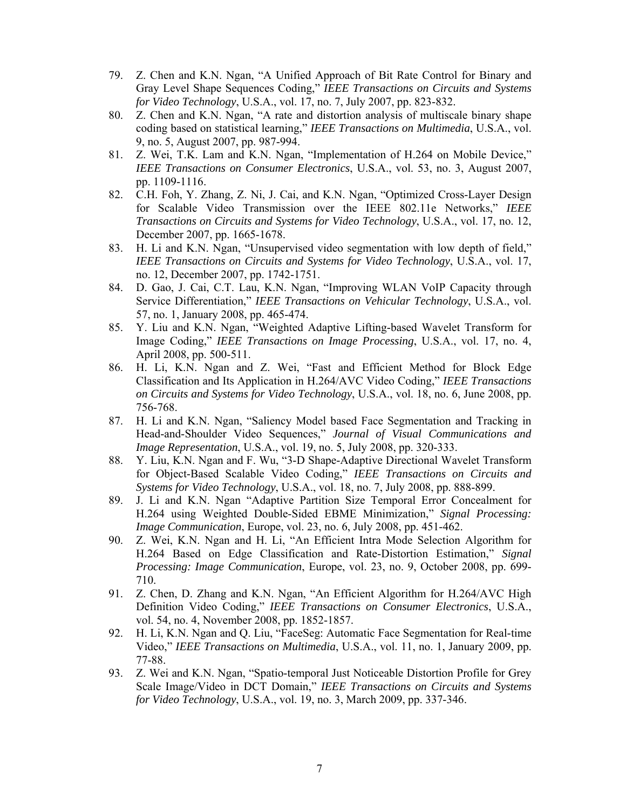- 79. Z. Chen and K.N. Ngan, "A Unified Approach of Bit Rate Control for Binary and Gray Level Shape Sequences Coding," *IEEE Transactions on Circuits and Systems for Video Technology*, U.S.A., vol. 17, no. 7, July 2007, pp. 823-832.
- 80. Z. Chen and K.N. Ngan, "A rate and distortion analysis of multiscale binary shape coding based on statistical learning," *IEEE Transactions on Multimedia*, U.S.A., vol. 9, no. 5, August 2007, pp. 987-994.
- 81. Z. Wei, T.K. Lam and K.N. Ngan, "Implementation of H.264 on Mobile Device," *IEEE Transactions on Consumer Electronics*, U.S.A., vol. 53, no. 3, August 2007, pp. 1109-1116.
- 82. C.H. Foh, Y. Zhang, Z. Ni, J. Cai, and K.N. Ngan, "Optimized Cross-Layer Design for Scalable Video Transmission over the IEEE 802.11e Networks," *IEEE Transactions on Circuits and Systems for Video Technology*, U.S.A., vol. 17, no. 12, December 2007, pp. 1665-1678.
- 83. H. Li and K.N. Ngan, "Unsupervised video segmentation with low depth of field," *IEEE Transactions on Circuits and Systems for Video Technology*, U.S.A., vol. 17, no. 12, December 2007, pp. 1742-1751.
- 84. D. Gao, J. Cai, C.T. Lau, K.N. Ngan, "Improving WLAN VoIP Capacity through Service Differentiation," *IEEE Transactions on Vehicular Technology*, U.S.A., vol. 57, no. 1, January 2008, pp. 465-474.
- 85. Y. Liu and K.N. Ngan, "Weighted Adaptive Lifting-based Wavelet Transform for Image Coding," *IEEE Transactions on Image Processing*, U.S.A., vol. 17, no. 4, April 2008, pp. 500-511.
- 86. H. Li, K.N. Ngan and Z. Wei, "Fast and Efficient Method for Block Edge Classification and Its Application in H.264/AVC Video Coding," *IEEE Transactions on Circuits and Systems for Video Technology*, U.S.A., vol. 18, no. 6, June 2008, pp. 756-768.
- 87. H. Li and K.N. Ngan, "Saliency Model based Face Segmentation and Tracking in Head-and-Shoulder Video Sequences," *Journal of Visual Communications and Image Representation*, U.S.A., vol. 19, no. 5, July 2008, pp. 320-333.
- 88. Y. Liu, K.N. Ngan and F. Wu, "3-D Shape-Adaptive Directional Wavelet Transform for Object-Based Scalable Video Coding," *IEEE Transactions on Circuits and Systems for Video Technology*, U.S.A., vol. 18, no. 7, July 2008, pp. 888-899.
- 89. J. Li and K.N. Ngan "Adaptive Partition Size Temporal Error Concealment for H.264 using Weighted Double-Sided EBME Minimization," *Signal Processing: Image Communication*, Europe, vol. 23, no. 6, July 2008, pp. 451-462.
- 90. Z. Wei, K.N. Ngan and H. Li, "An Efficient Intra Mode Selection Algorithm for H.264 Based on Edge Classification and Rate-Distortion Estimation," *Signal Processing: Image Communication*, Europe, vol. 23, no. 9, October 2008, pp. 699- 710.
- 91. Z. Chen, D. Zhang and K.N. Ngan, "An Efficient Algorithm for H.264/AVC High Definition Video Coding," *IEEE Transactions on Consumer Electronics*, U.S.A., vol. 54, no. 4, November 2008, pp. 1852-1857.
- 92. H. Li, K.N. Ngan and Q. Liu, "FaceSeg: Automatic Face Segmentation for Real-time Video," *IEEE Transactions on Multimedia*, U.S.A., vol. 11, no. 1, January 2009, pp. 77-88.
- 93. Z. Wei and K.N. Ngan, "Spatio-temporal Just Noticeable Distortion Profile for Grey Scale Image/Video in DCT Domain," *IEEE Transactions on Circuits and Systems for Video Technology*, U.S.A., vol. 19, no. 3, March 2009, pp. 337-346.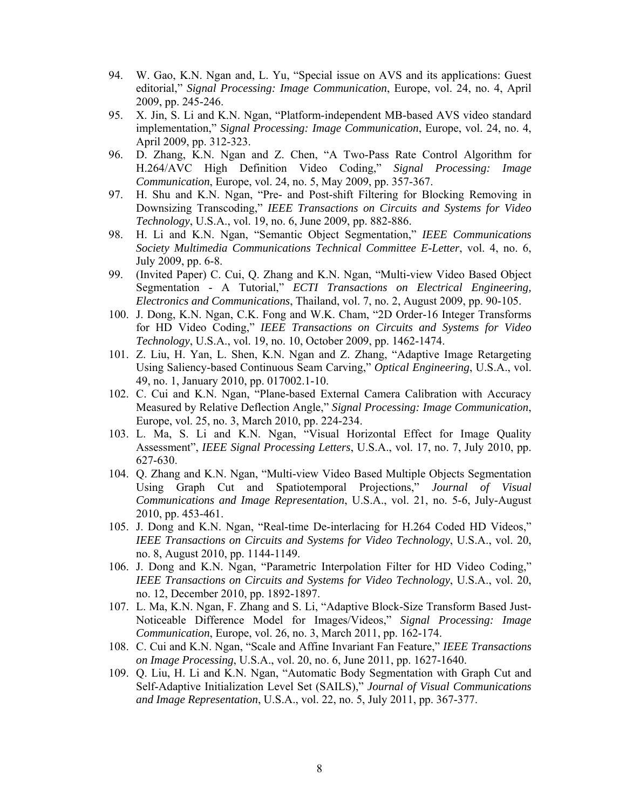- 94. W. Gao, K.N. Ngan and, L. Yu, "Special issue on AVS and its applications: Guest editorial," *Signal Processing: Image Communication*, Europe, vol. 24, no. 4, April 2009, pp. 245-246.
- 95. X. Jin, S. Li and K.N. Ngan, "Platform-independent MB-based AVS video standard implementation," *Signal Processing: Image Communication*, Europe, vol. 24, no. 4, April 2009, pp. 312-323.
- 96. D. Zhang, K.N. Ngan and Z. Chen, "A Two-Pass Rate Control Algorithm for H.264/AVC High Definition Video Coding," *Signal Processing: Image Communication*, Europe, vol. 24, no. 5, May 2009, pp. 357-367.
- 97. H. Shu and K.N. Ngan, "Pre- and Post-shift Filtering for Blocking Removing in Downsizing Transcoding," *IEEE Transactions on Circuits and Systems for Video Technology*, U.S.A., vol. 19, no. 6, June 2009, pp. 882-886.
- 98. H. Li and K.N. Ngan, "Semantic Object Segmentation," *IEEE Communications Society Multimedia Communications Technical Committee E-Letter*, vol. 4, no. 6, July 2009, pp. 6-8.
- 99. (Invited Paper) C. Cui, Q. Zhang and K.N. Ngan, "Multi-view Video Based Object Segmentation - A Tutorial," *ECTI Transactions on Electrical Engineering, Electronics and Communications*, Thailand, vol. 7, no. 2, August 2009, pp. 90-105.
- 100. J. Dong, K.N. Ngan, C.K. Fong and W.K. Cham, "2D Order-16 Integer Transforms for HD Video Coding," *IEEE Transactions on Circuits and Systems for Video Technology*, U.S.A., vol. 19, no. 10, October 2009, pp. 1462-1474.
- 101. Z. Liu, H. Yan, L. Shen, K.N. Ngan and Z. Zhang, "Adaptive Image Retargeting Using Saliency-based Continuous Seam Carving," *Optical Engineering*, U.S.A., vol. 49, no. 1, January 2010, pp. 017002.1-10.
- 102. C. Cui and K.N. Ngan, "Plane-based External Camera Calibration with Accuracy Measured by Relative Deflection Angle," *Signal Processing: Image Communication*, Europe, vol. 25, no. 3, March 2010, pp. 224-234.
- 103. L. Ma, S. Li and K.N. Ngan, "Visual Horizontal Effect for Image Quality Assessment", *IEEE Signal Processing Letters*, U.S.A., vol. 17, no. 7, July 2010, pp. 627-630.
- 104. Q. Zhang and K.N. Ngan, "Multi-view Video Based Multiple Objects Segmentation Using Graph Cut and Spatiotemporal Projections," *Journal of Visual Communications and Image Representation*, U.S.A., vol. 21, no. 5-6, July-August 2010, pp. 453-461.
- 105. J. Dong and K.N. Ngan, "Real-time De-interlacing for H.264 Coded HD Videos," *IEEE Transactions on Circuits and Systems for Video Technology*, U.S.A., vol. 20, no. 8, August 2010, pp. 1144-1149.
- 106. J. Dong and K.N. Ngan, "Parametric Interpolation Filter for HD Video Coding," *IEEE Transactions on Circuits and Systems for Video Technology*, U.S.A., vol. 20, no. 12, December 2010, pp. 1892-1897.
- 107. L. Ma, K.N. Ngan, F. Zhang and S. Li, "Adaptive Block-Size Transform Based Just-Noticeable Difference Model for Images/Videos," *Signal Processing: Image Communication*, Europe, vol. 26, no. 3, March 2011, pp. 162-174.
- 108. C. Cui and K.N. Ngan, "Scale and Affine Invariant Fan Feature," *IEEE Transactions on Image Processing*, U.S.A., vol. 20, no. 6, June 2011, pp. 1627-1640.
- 109. Q. Liu, H. Li and K.N. Ngan, "Automatic Body Segmentation with Graph Cut and Self-Adaptive Initialization Level Set (SAILS)," *Journal of Visual Communications and Image Representation*, U.S.A., vol. 22, no. 5, July 2011, pp. 367-377.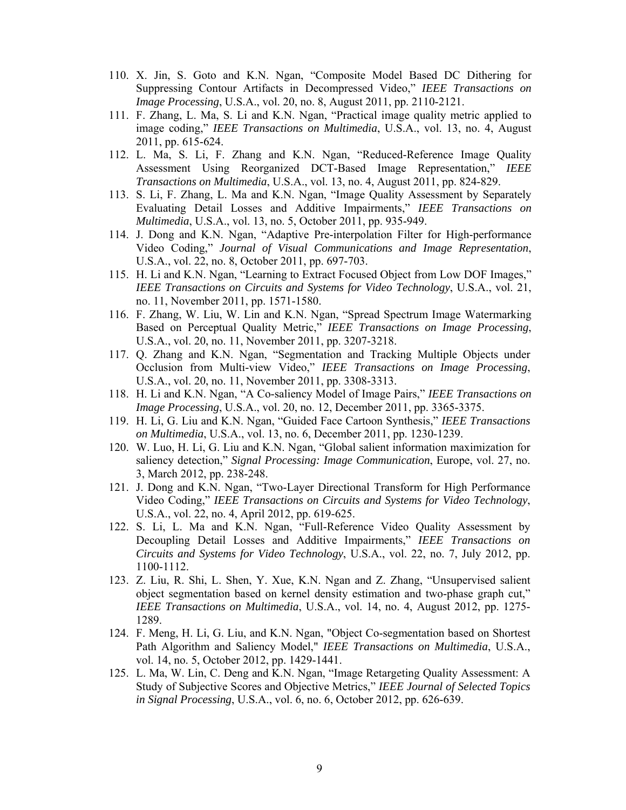- 110. X. Jin, S. Goto and K.N. Ngan, "Composite Model Based DC Dithering for Suppressing Contour Artifacts in Decompressed Video," *IEEE Transactions on Image Processing*, U.S.A., vol. 20, no. 8, August 2011, pp. 2110-2121.
- 111. F. Zhang, L. Ma, S. Li and K.N. Ngan, "Practical image quality metric applied to image coding," *IEEE Transactions on Multimedia*, U.S.A., vol. 13, no. 4, August 2011, pp. 615-624.
- 112. L. Ma, S. Li, F. Zhang and K.N. Ngan, "Reduced-Reference Image Quality Assessment Using Reorganized DCT-Based Image Representation," *IEEE Transactions on Multimedia*, U.S.A., vol. 13, no. 4, August 2011, pp. 824-829.
- 113. S. Li, F. Zhang, L. Ma and K.N. Ngan, "Image Quality Assessment by Separately Evaluating Detail Losses and Additive Impairments," *IEEE Transactions on Multimedia*, U.S.A., vol. 13, no. 5, October 2011, pp. 935-949.
- 114. J. Dong and K.N. Ngan, "Adaptive Pre-interpolation Filter for High-performance Video Coding," *Journal of Visual Communications and Image Representation*, U.S.A., vol. 22, no. 8, October 2011, pp. 697-703.
- 115. H. Li and K.N. Ngan, "Learning to Extract Focused Object from Low DOF Images," *IEEE Transactions on Circuits and Systems for Video Technology*, U.S.A., vol. 21, no. 11, November 2011, pp. 1571-1580.
- 116. F. Zhang, W. Liu, W. Lin and K.N. Ngan, "Spread Spectrum Image Watermarking Based on Perceptual Quality Metric," *IEEE Transactions on Image Processing*, U.S.A., vol. 20, no. 11, November 2011, pp. 3207-3218.
- 117. Q. Zhang and K.N. Ngan, "Segmentation and Tracking Multiple Objects under Occlusion from Multi-view Video," *IEEE Transactions on Image Processing*, U.S.A., vol. 20, no. 11, November 2011, pp. 3308-3313.
- 118. H. Li and K.N. Ngan, "A Co-saliency Model of Image Pairs," *IEEE Transactions on Image Processing*, U.S.A., vol. 20, no. 12, December 2011, pp. 3365-3375.
- 119. H. Li, G. Liu and K.N. Ngan, "Guided Face Cartoon Synthesis," *IEEE Transactions on Multimedia*, U.S.A., vol. 13, no. 6, December 2011, pp. 1230-1239.
- 120. W. Luo, H. Li, G. Liu and K.N. Ngan, "Global salient information maximization for saliency detection," *Signal Processing: Image Communication*, Europe, vol. 27, no. 3, March 2012, pp. 238-248.
- 121. J. Dong and K.N. Ngan, "Two-Layer Directional Transform for High Performance Video Coding," *IEEE Transactions on Circuits and Systems for Video Technology*, U.S.A., vol. 22, no. 4, April 2012, pp. 619-625.
- 122. S. Li, L. Ma and K.N. Ngan, "Full-Reference Video Quality Assessment by Decoupling Detail Losses and Additive Impairments," *IEEE Transactions on Circuits and Systems for Video Technology*, U.S.A., vol. 22, no. 7, July 2012, pp. 1100-1112.
- 123. Z. Liu, R. Shi, L. Shen, Y. Xue, K.N. Ngan and Z. Zhang, "Unsupervised salient object segmentation based on kernel density estimation and two-phase graph cut," *IEEE Transactions on Multimedia*, U.S.A., vol. 14, no. 4, August 2012, pp. 1275- 1289.
- 124. F. Meng, H. Li, G. Liu, and K.N. Ngan, "Object Co-segmentation based on Shortest Path Algorithm and Saliency Model," *IEEE Transactions on Multimedia*, U.S.A., vol. 14, no. 5, October 2012, pp. 1429-1441.
- 125. L. Ma, W. Lin, C. Deng and K.N. Ngan, "Image Retargeting Quality Assessment: A Study of Subjective Scores and Objective Metrics," *IEEE Journal of Selected Topics in Signal Processing*, U.S.A., vol. 6, no. 6, October 2012, pp. 626-639.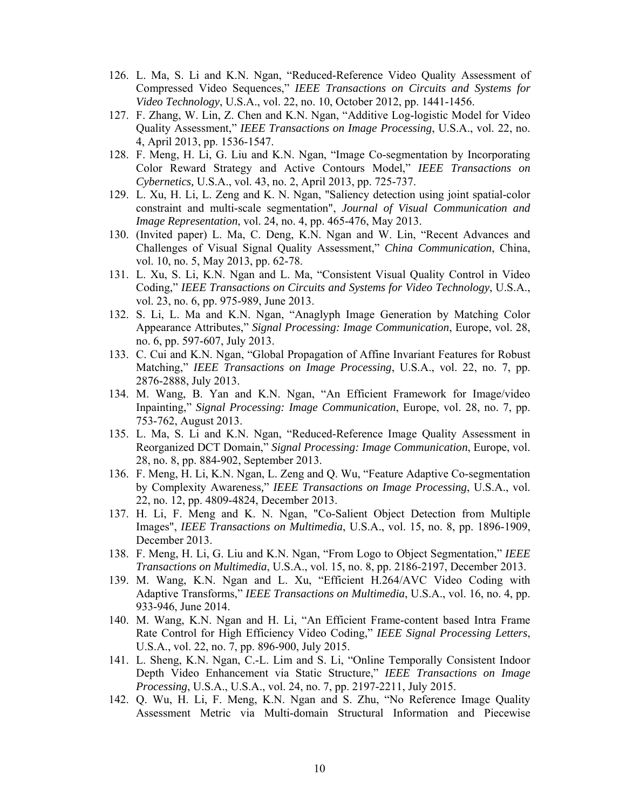- 126. L. Ma, S. Li and K.N. Ngan, "Reduced-Reference Video Quality Assessment of Compressed Video Sequences," *IEEE Transactions on Circuits and Systems for Video Technology*, U.S.A., vol. 22, no. 10, October 2012, pp. 1441-1456.
- 127. F. Zhang, W. Lin, Z. Chen and K.N. Ngan, "Additive Log-logistic Model for Video Quality Assessment," *IEEE Transactions on Image Processing*, U.S.A., vol. 22, no. 4, April 2013, pp. 1536-1547.
- 128. F. Meng, H. Li, G. Liu and K.N. Ngan, "Image Co-segmentation by Incorporating Color Reward Strategy and Active Contours Model," *IEEE Transactions on Cybernetics,* U.S.A., vol. 43, no. 2, April 2013, pp. 725-737.
- 129. L. Xu, H. Li, L. Zeng and K. N. Ngan, "Saliency detection using joint spatial-color constraint and multi-scale segmentation", *Journal of Visual Communication and Image Representation*, vol. 24, no. 4, pp. 465-476, May 2013.
- 130. (Invited paper) L. Ma, C. Deng, K.N. Ngan and W. Lin, "Recent Advances and Challenges of Visual Signal Quality Assessment," *China Communication*, China, vol. 10, no. 5, May 2013, pp. 62-78.
- 131. L. Xu, S. Li, K.N. Ngan and L. Ma, "Consistent Visual Quality Control in Video Coding," *IEEE Transactions on Circuits and Systems for Video Technology*, U.S.A., vol. 23, no. 6, pp. 975-989, June 2013.
- 132. S. Li, L. Ma and K.N. Ngan, "Anaglyph Image Generation by Matching Color Appearance Attributes," *Signal Processing: Image Communication*, Europe, vol. 28, no. 6, pp. 597-607, July 2013.
- 133. C. Cui and K.N. Ngan, "Global Propagation of Affine Invariant Features for Robust Matching," *IEEE Transactions on Image Processing*, U.S.A., vol. 22, no. 7, pp. 2876-2888, July 2013.
- 134. M. Wang, B. Yan and K.N. Ngan, "An Efficient Framework for Image/video Inpainting," *Signal Processing: Image Communication*, Europe, vol. 28, no. 7, pp. 753-762, August 2013.
- 135. L. Ma, S. Li and K.N. Ngan, "Reduced-Reference Image Quality Assessment in Reorganized DCT Domain," *Signal Processing: Image Communication*, Europe, vol. 28, no. 8, pp. 884-902, September 2013.
- 136. F. Meng, H. Li, K.N. Ngan, L. Zeng and Q. Wu, "Feature Adaptive Co-segmentation by Complexity Awareness*,*" *IEEE Transactions on Image Processing*, U.S.A., vol. 22, no. 12, pp. 4809-4824, December 2013.
- 137. H. Li, F. Meng and K. N. Ngan, "Co-Salient Object Detection from Multiple Images", *IEEE Transactions on Multimedia*, U.S.A., vol. 15, no. 8, pp. 1896-1909, December 2013.
- 138. F. Meng, H. Li, G. Liu and K.N. Ngan, "From Logo to Object Segmentation," *IEEE Transactions on Multimedia*, U.S.A., vol. 15, no. 8, pp. 2186-2197, December 2013.
- 139. M. Wang, K.N. Ngan and L. Xu, "Efficient H.264/AVC Video Coding with Adaptive Transforms," *IEEE Transactions on Multimedia*, U.S.A., vol. 16, no. 4, pp. 933-946, June 2014.
- 140. M. Wang, K.N. Ngan and H. Li, "An Efficient Frame-content based Intra Frame Rate Control for High Efficiency Video Coding," *IEEE Signal Processing Letters*, U.S.A., vol. 22, no. 7, pp. 896-900, July 2015.
- 141. L. Sheng, K.N. Ngan, C.-L. Lim and S. Li, "Online Temporally Consistent Indoor Depth Video Enhancement via Static Structure," *IEEE Transactions on Image Processing*, U.S.A., U.S.A., vol. 24, no. 7, pp. 2197-2211, July 2015.
- 142. Q. Wu, H. Li, F. Meng, K.N. Ngan and S. Zhu, "No Reference Image Quality Assessment Metric via Multi-domain Structural Information and Piecewise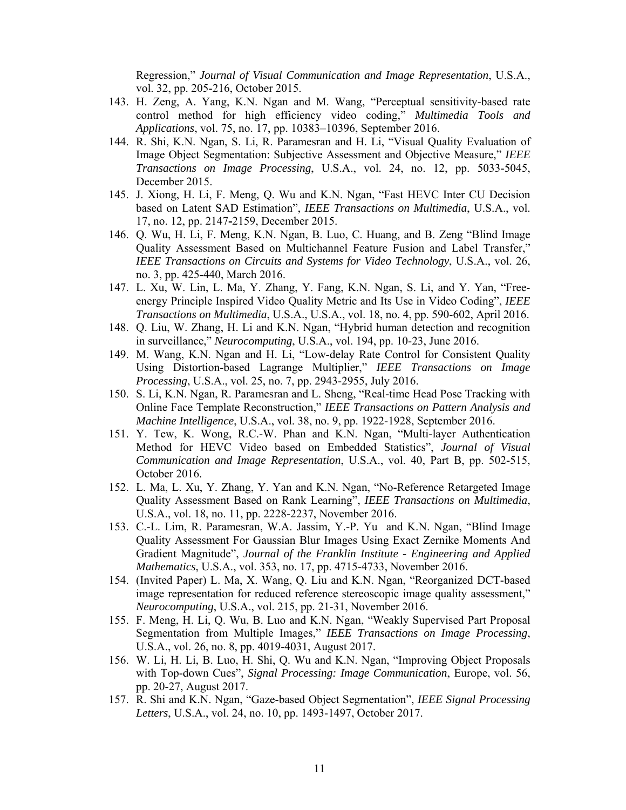Regression," *Journal of Visual Communication and Image Representation*, U.S.A., vol. 32, pp. 205-216, October 2015.

- 143. H. Zeng, A. Yang, K.N. Ngan and M. Wang, "Perceptual sensitivity-based rate control method for high efficiency video coding," *Multimedia Tools and Applications*, vol. 75, no. 17, pp. 10383–10396, September 2016.
- 144. R. Shi, K.N. Ngan, S. Li, R. Paramesran and H. Li, "Visual Quality Evaluation of Image Object Segmentation: Subjective Assessment and Objective Measure," *IEEE Transactions on Image Processing*, U.S.A., vol. 24, no. 12, pp. 5033-5045, December 2015.
- 145. J. Xiong, H. Li, F. Meng, Q. Wu and K.N. Ngan, "Fast HEVC Inter CU Decision based on Latent SAD Estimation", *IEEE Transactions on Multimedia*, U.S.A., vol. 17, no. 12, pp. 2147**-**2159, December 2015.
- 146. Q. Wu, H. Li, F. Meng, K.N. Ngan, B. Luo, C. Huang, and B. Zeng "Blind Image Quality Assessment Based on Multichannel Feature Fusion and Label Transfer," *IEEE Transactions on Circuits and Systems for Video Technology*, U.S.A., vol. 26, no. 3, pp. 425**-**440, March 2016.
- 147. L. Xu, W. Lin, L. Ma, Y. Zhang, Y. Fang, K.N. Ngan, S. Li, and Y. Yan, "Freeenergy Principle Inspired Video Quality Metric and Its Use in Video Coding", *IEEE Transactions on Multimedia*, U.S.A., U.S.A., vol. 18, no. 4, pp. 590-602, April 2016.
- 148. Q. Liu, W. Zhang, H. Li and K.N. Ngan, "Hybrid human detection and recognition in surveillance," *Neurocomputing*, U.S.A., vol. 194, pp. 10-23, June 2016.
- 149. M. Wang, K.N. Ngan and H. Li, "Low-delay Rate Control for Consistent Quality Using Distortion-based Lagrange Multiplier," *IEEE Transactions on Image Processing*, U.S.A., vol. 25, no. 7, pp. 2943-2955, July 2016.
- 150. S. Li, K.N. Ngan, R. Paramesran and L. Sheng, "Real-time Head Pose Tracking with Online Face Template Reconstruction," *IEEE Transactions on Pattern Analysis and Machine Intelligence*, U.S.A., vol. 38, no. 9, pp. 1922-1928, September 2016.
- 151. Y. Tew, K. Wong, R.C.-W. Phan and K.N. Ngan, "Multi-layer Authentication Method for HEVC Video based on Embedded Statistics", *Journal of Visual Communication and Image Representation*, U.S.A., vol. 40, Part B, pp. 502-515, October 2016.
- 152. L. Ma, L. Xu, Y. Zhang, Y. Yan and K.N. Ngan, "No-Reference Retargeted Image Quality Assessment Based on Rank Learning", *IEEE Transactions on Multimedia*, U.S.A., vol. 18, no. 11, pp. 2228-2237, November 2016.
- 153. C.-L. Lim, R. Paramesran, W.A. Jassim, Y.-P. Yu and K.N. Ngan, "Blind Image Quality Assessment For Gaussian Blur Images Using Exact Zernike Moments And Gradient Magnitude", *Journal of the Franklin Institute - Engineering and Applied Mathematics*, U.S.A., vol. 353, no. 17, pp. 4715-4733, November 2016.
- 154. (Invited Paper) L. Ma, X. Wang, Q. Liu and K.N. Ngan, "Reorganized DCT-based image representation for reduced reference stereoscopic image quality assessment," *Neurocomputing*, U.S.A., vol. 215, pp. 21-31, November 2016.
- 155. F. Meng, H. Li, Q. Wu, B. Luo and K.N. Ngan, "Weakly Supervised Part Proposal Segmentation from Multiple Images," *IEEE Transactions on Image Processing*, U.S.A., vol. 26, no. 8, pp. 4019-4031, August 2017.
- 156. W. Li, H. Li, B. Luo, H. Shi, Q. Wu and K.N. Ngan, "Improving Object Proposals with Top-down Cues", *Signal Processing: Image Communication*, Europe, vol. 56, pp. 20-27, August 2017.
- 157. R. Shi and K.N. Ngan, "Gaze-based Object Segmentation", *IEEE Signal Processing Letters*, U.S.A., vol. 24, no. 10, pp. 1493-1497, October 2017.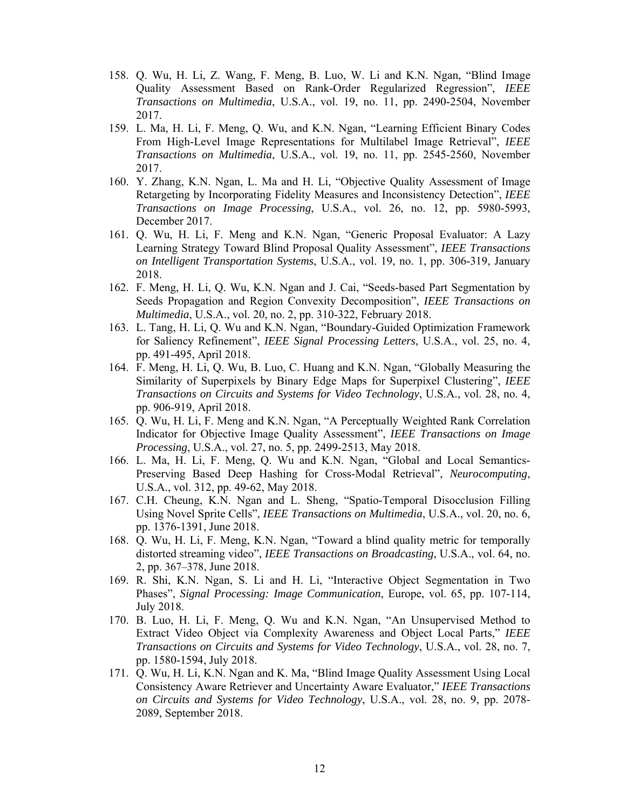- 158. Q. Wu, H. Li, Z. Wang, F. Meng, B. Luo, W. Li and K.N. Ngan, "Blind Image Quality Assessment Based on Rank-Order Regularized Regression", *IEEE Transactions on Multimedia*, U.S.A., vol. 19, no. 11, pp. 2490-2504, November 2017.
- 159. L. Ma, H. Li, F. Meng, Q. Wu, and K.N. Ngan, "Learning Efficient Binary Codes From High-Level Image Representations for Multilabel Image Retrieval", *IEEE Transactions on Multimedia*, U.S.A., vol. 19, no. 11, pp. 2545-2560, November 2017.
- 160. Y. Zhang, K.N. Ngan, L. Ma and H. Li, "Objective Quality Assessment of Image Retargeting by Incorporating Fidelity Measures and Inconsistency Detection", *IEEE Transactions on Image Processing*, U.S.A., vol. 26, no. 12, pp. 5980-5993, December 2017.
- 161. Q. Wu, H. Li, F. Meng and K.N. Ngan, "Generic Proposal Evaluator: A Lazy Learning Strategy Toward Blind Proposal Quality Assessment", *IEEE Transactions on Intelligent Transportation Systems*, U.S.A., vol. 19, no. 1, pp. 306-319, January 2018.
- 162. F. Meng, H. Li, Q. Wu, K.N. Ngan and J. Cai, "Seeds-based Part Segmentation by Seeds Propagation and Region Convexity Decomposition", *IEEE Transactions on Multimedia*, U.S.A., vol. 20, no. 2, pp. 310-322, February 2018.
- 163. L. Tang, H. Li, Q. Wu and K.N. Ngan, "Boundary-Guided Optimization Framework for Saliency Refinement", *IEEE Signal Processing Letters*, U.S.A., vol. 25, no. 4, pp. 491-495, April 2018.
- 164. F. Meng, H. Li, Q. Wu, B. Luo, C. Huang and K.N. Ngan, "Globally Measuring the Similarity of Superpixels by Binary Edge Maps for Superpixel Clustering", *IEEE Transactions on Circuits and Systems for Video Technology*, U.S.A., vol. 28, no. 4, pp. 906-919, April 2018.
- 165. Q. Wu, H. Li, F. Meng and K.N. Ngan, "A Perceptually Weighted Rank Correlation Indicator for Objective Image Quality Assessment", *IEEE Transactions on Image Processing*, U.S.A., vol. 27, no. 5, pp. 2499-2513, May 2018.
- 166. L. Ma, H. Li, F. Meng, Q. Wu and K.N. Ngan, "Global and Local Semantics-Preserving Based Deep Hashing for Cross-Modal Retrieval", *Neurocomputing*, U.S.A., vol. 312, pp. 49-62, May 2018.
- 167. C.H. Cheung, K.N. Ngan and L. Sheng, "Spatio-Temporal Disocclusion Filling Using Novel Sprite Cells", *IEEE Transactions on Multimedia*, U.S.A., vol. 20, no. 6, pp. 1376-1391, June 2018.
- 168. Q. Wu, H. Li, F. Meng, K.N. Ngan, "Toward a blind quality metric for temporally distorted streaming video", *IEEE Transactions on Broadcasting*, U.S.A., vol. 64, no. 2, pp. 367–378, June 2018.
- 169. R. Shi, K.N. Ngan, S. Li and H. Li, "Interactive Object Segmentation in Two Phases", *Signal Processing: Image Communication*, Europe, vol. 65, pp. 107-114, July 2018.
- 170. B. Luo, H. Li, F. Meng, Q. Wu and K.N. Ngan, "An Unsupervised Method to Extract Video Object via Complexity Awareness and Object Local Parts," *IEEE Transactions on Circuits and Systems for Video Technology*, U.S.A., vol. 28, no. 7, pp. 1580-1594, July 2018.
- 171. Q. Wu, H. Li, K.N. Ngan and K. Ma, "Blind Image Quality Assessment Using Local Consistency Aware Retriever and Uncertainty Aware Evaluator," *IEEE Transactions on Circuits and Systems for Video Technology*, U.S.A., vol. 28, no. 9, pp. 2078- 2089, September 2018.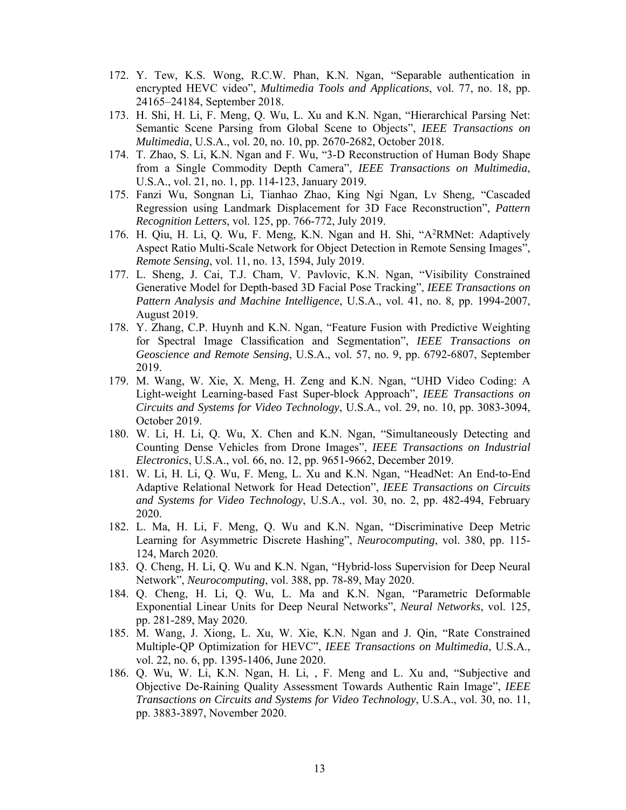- 172. Y. Tew, K.S. Wong, R.C.W. Phan, K.N. Ngan, "Separable authentication in encrypted HEVC video", *Multimedia Tools and Applications*, vol. 77, no. 18, pp. 24165–24184, September 2018.
- 173. H. Shi, H. Li, F. Meng, Q. Wu, L. Xu and K.N. Ngan, "Hierarchical Parsing Net: Semantic Scene Parsing from Global Scene to Objects", *IEEE Transactions on Multimedia*, U.S.A., vol. 20, no. 10, pp. 2670-2682, October 2018.
- 174. T. Zhao, S. Li, K.N. Ngan and F. Wu, "3-D Reconstruction of Human Body Shape from a Single Commodity Depth Camera", *IEEE Transactions on Multimedia*, U.S.A., vol. 21, no. 1, pp. 114-123, January 2019.
- 175. Fanzi Wu, Songnan Li, Tianhao Zhao, King Ngi Ngan, Lv Sheng, "Cascaded Regression using Landmark Displacement for 3D Face Reconstruction", *Pattern Recognition Letters*, vol. 125, pp. 766-772, July 2019.
- 176. H. Qiu, H. Li, Q. Wu, F. Meng, K.N. Ngan and H. Shi, "A2RMNet: Adaptively Aspect Ratio Multi-Scale Network for Object Detection in Remote Sensing Images", *Remote Sensing*, vol. 11, no. 13, 1594, July 2019.
- 177. L. Sheng, J. Cai, T.J. Cham, V. Pavlovic, K.N. Ngan, "Visibility Constrained Generative Model for Depth-based 3D Facial Pose Tracking", *IEEE Transactions on Pattern Analysis and Machine Intelligence*, U.S.A., vol. 41, no. 8, pp. 1994-2007, August 2019.
- 178. Y. Zhang, C.P. Huynh and K.N. Ngan, "Feature Fusion with Predictive Weighting for Spectral Image Classification and Segmentation", *IEEE Transactions on Geoscience and Remote Sensing*, U.S.A., vol. 57, no. 9, pp. 6792-6807, September 2019.
- 179. M. Wang, W. Xie, X. Meng, H. Zeng and K.N. Ngan, "UHD Video Coding: A Light-weight Learning-based Fast Super-block Approach", *IEEE Transactions on Circuits and Systems for Video Technology*, U.S.A., vol. 29, no. 10, pp. 3083-3094, October 2019.
- 180. W. Li, H. Li, Q. Wu, X. Chen and K.N. Ngan, "Simultaneously Detecting and Counting Dense Vehicles from Drone Images", *IEEE Transactions on Industrial Electronics*, U.S.A., vol. 66, no. 12, pp. 9651-9662, December 2019.
- 181. W. Li, H. Li, Q. Wu, F. Meng, L. Xu and K.N. Ngan, "HeadNet: An End-to-End Adaptive Relational Network for Head Detection", *IEEE Transactions on Circuits and Systems for Video Technology*, U.S.A., vol. 30, no. 2, pp. 482-494, February 2020.
- 182. L. Ma, H. Li, F. Meng, Q. Wu and K.N. Ngan, "Discriminative Deep Metric Learning for Asymmetric Discrete Hashing", *Neurocomputing*, vol. 380, pp. 115- 124, March 2020.
- 183. Q. Cheng, H. Li, Q. Wu and K.N. Ngan, "Hybrid-loss Supervision for Deep Neural Network", *Neurocomputing*, vol. 388, pp. 78-89, May 2020.
- 184. Q. Cheng, H. Li, Q. Wu, L. Ma and K.N. Ngan, "Parametric Deformable Exponential Linear Units for Deep Neural Networks", *Neural Networks*, vol. 125, pp. 281-289, May 2020.
- 185. M. Wang, J. Xiong, L. Xu, W. Xie, K.N. Ngan and J. Qin, "Rate Constrained Multiple-QP Optimization for HEVC", *IEEE Transactions on Multimedia*, U.S.A., vol. 22, no. 6, pp. 1395-1406, June 2020.
- 186. Q. Wu, W. Li, K.N. Ngan, H. Li, , F. Meng and L. Xu and, "Subjective and Objective De-Raining Quality Assessment Towards Authentic Rain Image", *IEEE Transactions on Circuits and Systems for Video Technology*, U.S.A., vol. 30, no. 11, pp. 3883-3897, November 2020.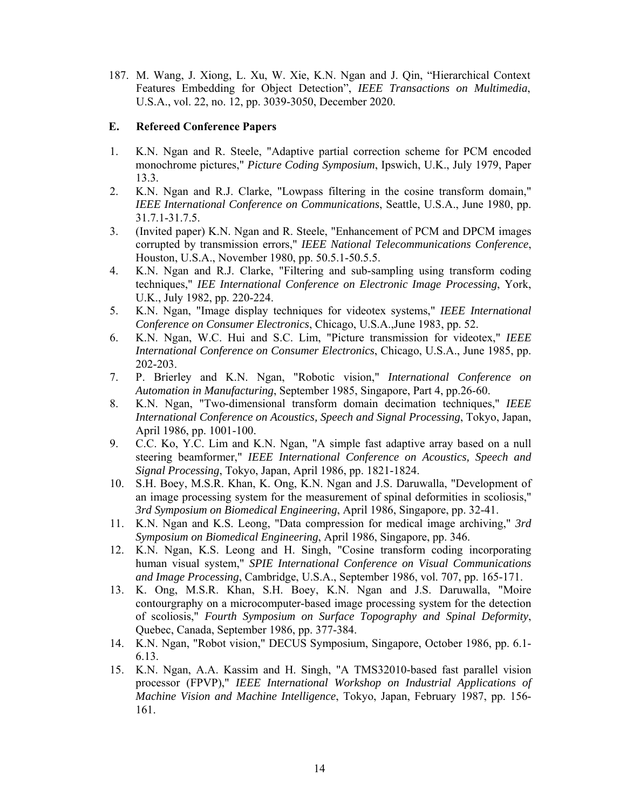187. M. Wang, J. Xiong, L. Xu, W. Xie, K.N. Ngan and J. Qin, "Hierarchical Context Features Embedding for Object Detection", *IEEE Transactions on Multimedia*, U.S.A., vol. 22, no. 12, pp. 3039-3050, December 2020.

#### **E. Refereed Conference Papers**

- 1. K.N. Ngan and R. Steele, "Adaptive partial correction scheme for PCM encoded monochrome pictures," *Picture Coding Symposium*, Ipswich, U.K., July 1979, Paper 13.3.
- 2. K.N. Ngan and R.J. Clarke, "Lowpass filtering in the cosine transform domain," *IEEE International Conference on Communications*, Seattle, U.S.A., June 1980, pp. 31.7.1-31.7.5.
- 3. (Invited paper) K.N. Ngan and R. Steele, "Enhancement of PCM and DPCM images corrupted by transmission errors," *IEEE National Telecommunications Conference*, Houston, U.S.A., November 1980, pp. 50.5.1-50.5.5.
- 4. K.N. Ngan and R.J. Clarke, "Filtering and sub-sampling using transform coding techniques," *IEE International Conference on Electronic Image Processing*, York, U.K., July 1982, pp. 220-224.
- 5. K.N. Ngan, "Image display techniques for videotex systems," *IEEE International Conference on Consumer Electronics*, Chicago, U.S.A.,June 1983, pp. 52.
- 6. K.N. Ngan, W.C. Hui and S.C. Lim, "Picture transmission for videotex," *IEEE International Conference on Consumer Electronics*, Chicago, U.S.A., June 1985, pp. 202-203.
- 7. P. Brierley and K.N. Ngan, "Robotic vision," *International Conference on Automation in Manufacturing*, September 1985, Singapore, Part 4, pp.26-60.
- 8. K.N. Ngan, "Two-dimensional transform domain decimation techniques," *IEEE International Conference on Acoustics, Speech and Signal Processing*, Tokyo, Japan, April 1986, pp. 1001-100.
- 9. C.C. Ko, Y.C. Lim and K.N. Ngan, "A simple fast adaptive array based on a null steering beamformer," *IEEE International Conference on Acoustics, Speech and Signal Processing*, Tokyo, Japan, April 1986, pp. 1821-1824.
- 10. S.H. Boey, M.S.R. Khan, K. Ong, K.N. Ngan and J.S. Daruwalla, "Development of an image processing system for the measurement of spinal deformities in scoliosis," *3rd Symposium on Biomedical Engineering*, April 1986, Singapore, pp. 32-41.
- 11. K.N. Ngan and K.S. Leong, "Data compression for medical image archiving," *3rd Symposium on Biomedical Engineering*, April 1986, Singapore, pp. 346.
- 12. K.N. Ngan, K.S. Leong and H. Singh, "Cosine transform coding incorporating human visual system," *SPIE International Conference on Visual Communications and Image Processing*, Cambridge, U.S.A., September 1986, vol. 707, pp. 165-171.
- 13. K. Ong, M.S.R. Khan, S.H. Boey, K.N. Ngan and J.S. Daruwalla, "Moire contourgraphy on a microcomputer-based image processing system for the detection of scoliosis," *Fourth Symposium on Surface Topography and Spinal Deformity*, Quebec, Canada, September 1986, pp. 377-384.
- 14. K.N. Ngan, "Robot vision," DECUS Symposium, Singapore, October 1986, pp. 6.1- 6.13.
- 15. K.N. Ngan, A.A. Kassim and H. Singh, "A TMS32010-based fast parallel vision processor (FPVP)," *IEEE International Workshop on Industrial Applications of Machine Vision and Machine Intelligence*, Tokyo, Japan, February 1987, pp. 156- 161.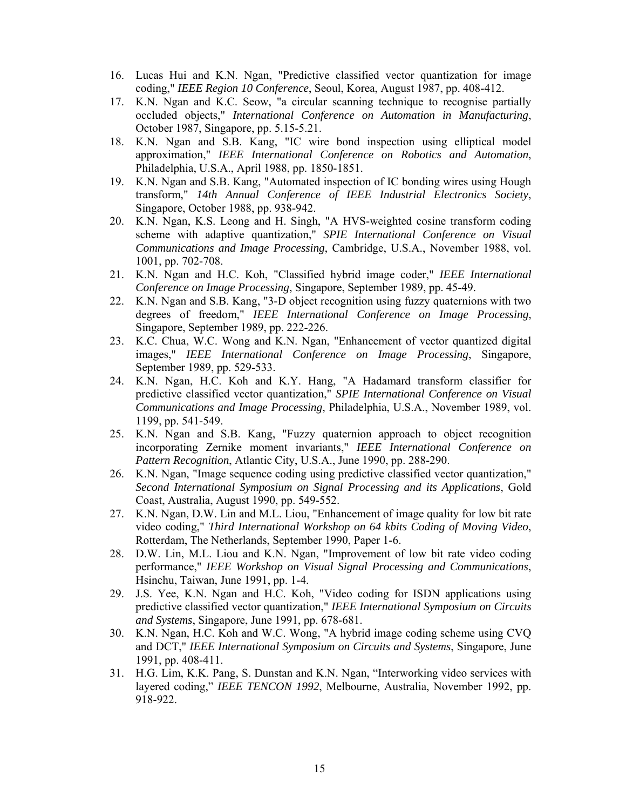- 16. Lucas Hui and K.N. Ngan, "Predictive classified vector quantization for image coding," *IEEE Region 10 Conference*, Seoul, Korea, August 1987, pp. 408-412.
- 17. K.N. Ngan and K.C. Seow, "a circular scanning technique to recognise partially occluded objects," *International Conference on Automation in Manufacturing*, October 1987, Singapore, pp. 5.15-5.21.
- 18. K.N. Ngan and S.B. Kang, "IC wire bond inspection using elliptical model approximation," *IEEE International Conference on Robotics and Automation*, Philadelphia, U.S.A., April 1988, pp. 1850-1851.
- 19. K.N. Ngan and S.B. Kang, "Automated inspection of IC bonding wires using Hough transform," *14th Annual Conference of IEEE Industrial Electronics Society*, Singapore, October 1988, pp. 938-942.
- 20. K.N. Ngan, K.S. Leong and H. Singh, "A HVS-weighted cosine transform coding scheme with adaptive quantization," *SPIE International Conference on Visual Communications and Image Processing*, Cambridge, U.S.A., November 1988, vol. 1001, pp. 702-708.
- 21. K.N. Ngan and H.C. Koh, "Classified hybrid image coder," *IEEE International Conference on Image Processing*, Singapore, September 1989, pp. 45-49.
- 22. K.N. Ngan and S.B. Kang, "3-D object recognition using fuzzy quaternions with two degrees of freedom," *IEEE International Conference on Image Processing*, Singapore, September 1989, pp. 222-226.
- 23. K.C. Chua, W.C. Wong and K.N. Ngan, "Enhancement of vector quantized digital images," *IEEE International Conference on Image Processing*, Singapore, September 1989, pp. 529-533.
- 24. K.N. Ngan, H.C. Koh and K.Y. Hang, "A Hadamard transform classifier for predictive classified vector quantization," *SPIE International Conference on Visual Communications and Image Processing*, Philadelphia, U.S.A., November 1989, vol. 1199, pp. 541-549.
- 25. K.N. Ngan and S.B. Kang, "Fuzzy quaternion approach to object recognition incorporating Zernike moment invariants," *IEEE International Conference on Pattern Recognition*, Atlantic City, U.S.A., June 1990, pp. 288-290.
- 26. K.N. Ngan, "Image sequence coding using predictive classified vector quantization," *Second International Symposium on Signal Processing and its Applications*, Gold Coast, Australia, August 1990, pp. 549-552.
- 27. K.N. Ngan, D.W. Lin and M.L. Liou, "Enhancement of image quality for low bit rate video coding," *Third International Workshop on 64 kbits Coding of Moving Video*, Rotterdam, The Netherlands, September 1990, Paper 1-6.
- 28. D.W. Lin, M.L. Liou and K.N. Ngan, "Improvement of low bit rate video coding performance," *IEEE Workshop on Visual Signal Processing and Communications*, Hsinchu, Taiwan, June 1991, pp. 1-4.
- 29. J.S. Yee, K.N. Ngan and H.C. Koh, "Video coding for ISDN applications using predictive classified vector quantization," *IEEE International Symposium on Circuits and Systems*, Singapore, June 1991, pp. 678-681.
- 30. K.N. Ngan, H.C. Koh and W.C. Wong, "A hybrid image coding scheme using CVQ and DCT," *IEEE International Symposium on Circuits and Systems*, Singapore, June 1991, pp. 408-411.
- 31. H.G. Lim, K.K. Pang, S. Dunstan and K.N. Ngan, "Interworking video services with layered coding," *IEEE TENCON 1992*, Melbourne, Australia, November 1992, pp. 918-922.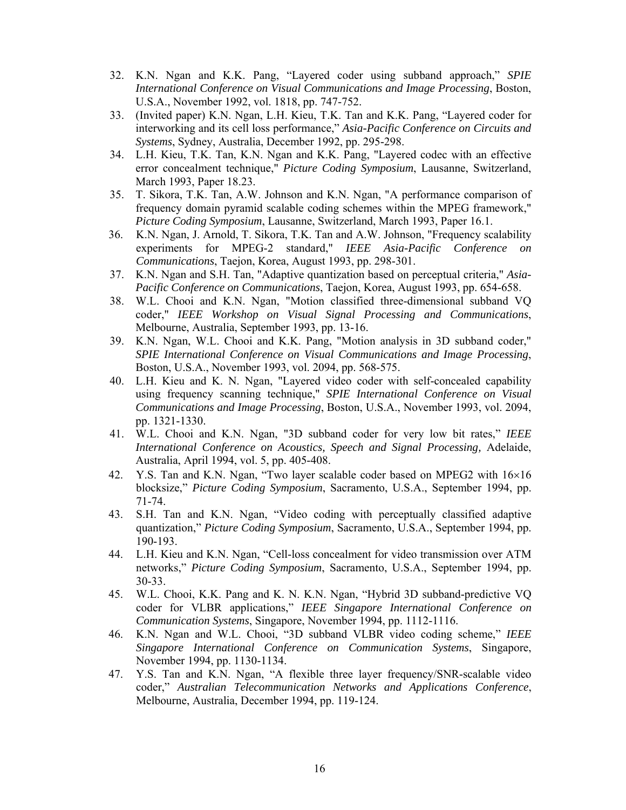- 32. K.N. Ngan and K.K. Pang, "Layered coder using subband approach," *SPIE International Conference on Visual Communications and Image Processing*, Boston, U.S.A., November 1992, vol. 1818, pp. 747-752.
- 33. (Invited paper) K.N. Ngan, L.H. Kieu, T.K. Tan and K.K. Pang, "Layered coder for interworking and its cell loss performance," *Asia-Pacific Conference on Circuits and Systems*, Sydney, Australia, December 1992, pp. 295-298.
- 34. L.H. Kieu, T.K. Tan, K.N. Ngan and K.K. Pang, "Layered codec with an effective error concealment technique," *Picture Coding Symposium*, Lausanne, Switzerland, March 1993, Paper 18.23.
- 35. T. Sikora, T.K. Tan, A.W. Johnson and K.N. Ngan, "A performance comparison of frequency domain pyramid scalable coding schemes within the MPEG framework," *Picture Coding Symposium*, Lausanne, Switzerland, March 1993, Paper 16.1.
- 36. K.N. Ngan, J. Arnold, T. Sikora, T.K. Tan and A.W. Johnson, "Frequency scalability experiments for MPEG-2 standard," *IEEE Asia-Pacific Conference on Communications*, Taejon, Korea, August 1993, pp. 298-301.
- 37. K.N. Ngan and S.H. Tan, "Adaptive quantization based on perceptual criteria," *Asia-Pacific Conference on Communications*, Taejon, Korea, August 1993, pp. 654-658.
- 38. W.L. Chooi and K.N. Ngan, "Motion classified three-dimensional subband VQ coder," *IEEE Workshop on Visual Signal Processing and Communications*, Melbourne, Australia, September 1993, pp. 13-16.
- 39. K.N. Ngan, W.L. Chooi and K.K. Pang, "Motion analysis in 3D subband coder," *SPIE International Conference on Visual Communications and Image Processing*, Boston, U.S.A., November 1993, vol. 2094, pp. 568-575.
- 40. L.H. Kieu and K. N. Ngan, "Layered video coder with self-concealed capability using frequency scanning technique," *SPIE International Conference on Visual Communications and Image Processing*, Boston, U.S.A., November 1993, vol. 2094, pp. 1321-1330.
- 41. W.L. Chooi and K.N. Ngan, "3D subband coder for very low bit rates," *IEEE International Conference on Acoustics, Speech and Signal Processing,* Adelaide, Australia, April 1994, vol. 5, pp. 405-408.
- 42. Y.S. Tan and K.N. Ngan, "Two layer scalable coder based on MPEG2 with  $16\times16$ blocksize," *Picture Coding Symposium*, Sacramento, U.S.A., September 1994, pp. 71-74.
- 43. S.H. Tan and K.N. Ngan, "Video coding with perceptually classified adaptive quantization," *Picture Coding Symposium*, Sacramento, U.S.A., September 1994, pp. 190-193.
- 44. L.H. Kieu and K.N. Ngan, "Cell-loss concealment for video transmission over ATM networks," *Picture Coding Symposium*, Sacramento, U.S.A., September 1994, pp. 30-33.
- 45. W.L. Chooi, K.K. Pang and K. N. K.N. Ngan, "Hybrid 3D subband-predictive VQ coder for VLBR applications," *IEEE Singapore International Conference on Communication Systems*, Singapore, November 1994, pp. 1112-1116.
- 46. K.N. Ngan and W.L. Chooi, "3D subband VLBR video coding scheme," *IEEE Singapore International Conference on Communication Systems*, Singapore, November 1994, pp. 1130-1134.
- 47. Y.S. Tan and K.N. Ngan, "A flexible three layer frequency/SNR-scalable video coder," *Australian Telecommunication Networks and Applications Conference*, Melbourne, Australia, December 1994, pp. 119-124.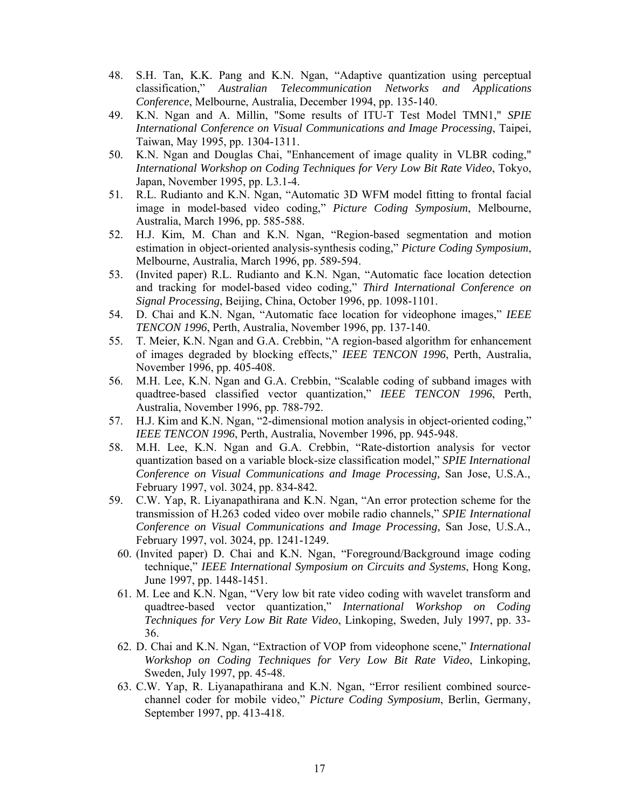- 48. S.H. Tan, K.K. Pang and K.N. Ngan, "Adaptive quantization using perceptual classification," *Australian Telecommunication Networks and Applications Conference*, Melbourne, Australia, December 1994, pp. 135-140.
- 49. K.N. Ngan and A. Millin, "Some results of ITU-T Test Model TMN1," *SPIE International Conference on Visual Communications and Image Processing*, Taipei, Taiwan, May 1995, pp. 1304-1311.
- 50. K.N. Ngan and Douglas Chai, "Enhancement of image quality in VLBR coding," *International Workshop on Coding Techniques for Very Low Bit Rate Video*, Tokyo, Japan, November 1995, pp. L3.1-4.
- 51. R.L. Rudianto and K.N. Ngan, "Automatic 3D WFM model fitting to frontal facial image in model-based video coding," *Picture Coding Symposium*, Melbourne, Australia, March 1996, pp. 585-588.
- 52. H.J. Kim, M. Chan and K.N. Ngan, "Region-based segmentation and motion estimation in object-oriented analysis-synthesis coding," *Picture Coding Symposium*, Melbourne, Australia, March 1996, pp. 589-594.
- 53. (Invited paper) R.L. Rudianto and K.N. Ngan, "Automatic face location detection and tracking for model-based video coding," *Third International Conference on Signal Processing*, Beijing, China, October 1996, pp. 1098-1101.
- 54. D. Chai and K.N. Ngan, "Automatic face location for videophone images," *IEEE TENCON 1996*, Perth, Australia, November 1996, pp. 137-140.
- 55. T. Meier, K.N. Ngan and G.A. Crebbin, "A region-based algorithm for enhancement of images degraded by blocking effects," *IEEE TENCON 1996*, Perth, Australia, November 1996, pp. 405-408.
- 56. M.H. Lee, K.N. Ngan and G.A. Crebbin, "Scalable coding of subband images with quadtree-based classified vector quantization," *IEEE TENCON 1996*, Perth, Australia, November 1996, pp. 788-792.
- 57. H.J. Kim and K.N. Ngan, "2-dimensional motion analysis in object-oriented coding," *IEEE TENCON 1996*, Perth, Australia, November 1996, pp. 945-948.
- 58. M.H. Lee, K.N. Ngan and G.A. Crebbin, "Rate-distortion analysis for vector quantization based on a variable block-size classification model," *SPIE International Conference on Visual Communications and Image Processing,* San Jose, U.S.A., February 1997, vol. 3024, pp. 834-842*.*
- 59. C.W. Yap, R. Liyanapathirana and K.N. Ngan, "An error protection scheme for the transmission of H.263 coded video over mobile radio channels," *SPIE International Conference on Visual Communications and Image Processing,* San Jose, U.S.A., February 1997, vol. 3024, pp. 1241-1249*.*
	- 60. (Invited paper) D. Chai and K.N. Ngan, "Foreground/Background image coding technique," *IEEE International Symposium on Circuits and Systems*, Hong Kong, June 1997, pp. 1448-1451.
	- 61. M. Lee and K.N. Ngan, "Very low bit rate video coding with wavelet transform and quadtree-based vector quantization," *International Workshop on Coding Techniques for Very Low Bit Rate Video*, Linkoping, Sweden, July 1997, pp. 33- 36.
	- 62. D. Chai and K.N. Ngan, "Extraction of VOP from videophone scene," *International Workshop on Coding Techniques for Very Low Bit Rate Video*, Linkoping, Sweden, July 1997, pp. 45-48.
	- 63. C.W. Yap, R. Liyanapathirana and K.N. Ngan, "Error resilient combined sourcechannel coder for mobile video," *Picture Coding Symposium*, Berlin, Germany, September 1997, pp. 413-418.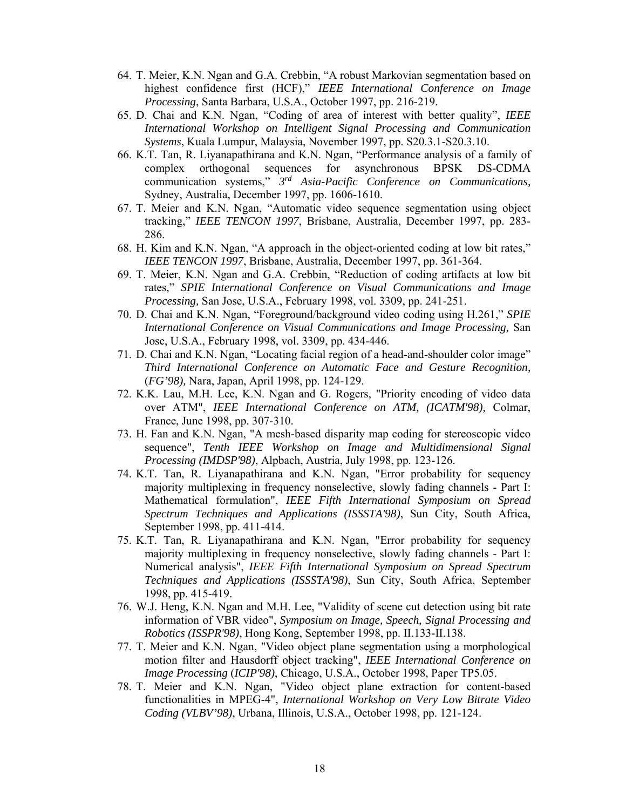- 64. T. Meier, K.N. Ngan and G.A. Crebbin, "A robust Markovian segmentation based on highest confidence first (HCF)," *IEEE International Conference on Image Processing*, Santa Barbara, U.S.A., October 1997, pp. 216-219.
- 65. D. Chai and K.N. Ngan, "Coding of area of interest with better quality", *IEEE International Workshop on Intelligent Signal Processing and Communication Systems*, Kuala Lumpur, Malaysia, November 1997, pp. S20.3.1-S20.3.10.
- 66. K.T. Tan, R. Liyanapathirana and K.N. Ngan, "Performance analysis of a family of complex orthogonal sequences for asynchronous BPSK DS-CDMA communication systems," *3rd Asia-Pacific Conference on Communications,* Sydney, Australia, December 1997, pp. 1606-1610.
- 67. T. Meier and K.N. Ngan, "Automatic video sequence segmentation using object tracking," *IEEE TENCON 1997*, Brisbane, Australia, December 1997, pp. 283- 286.
- 68. H. Kim and K.N. Ngan, "A approach in the object-oriented coding at low bit rates," *IEEE TENCON 1997*, Brisbane, Australia, December 1997, pp. 361-364.
- 69. T. Meier, K.N. Ngan and G.A. Crebbin, "Reduction of coding artifacts at low bit rates," *SPIE International Conference on Visual Communications and Image Processing,* San Jose, U.S.A., February 1998, vol. 3309, pp. 241-251.
- 70. D. Chai and K.N. Ngan, "Foreground/background video coding using H.261," *SPIE International Conference on Visual Communications and Image Processing,* San Jose, U.S.A., February 1998, vol. 3309, pp. 434-446.
- 71. D. Chai and K.N. Ngan, "Locating facial region of a head-and-shoulder color image" *Third International Conference on Automatic Face and Gesture Recognition,* (*FG'98),* Nara, Japan, April 1998, pp. 124-129.
- 72. K.K. Lau, M.H. Lee, K.N. Ngan and G. Rogers, "Priority encoding of video data over ATM", *IEEE International Conference on ATM, (ICATM'98),* Colmar, France, June 1998, pp. 307-310.
- 73. H. Fan and K.N. Ngan, "A mesh-based disparity map coding for stereoscopic video sequence", *Tenth IEEE Workshop on Image and Multidimensional Signal Processing (IMDSP'98)*, Alpbach, Austria, July 1998, pp. 123-126.
- 74. K.T. Tan, R. Liyanapathirana and K.N. Ngan, "Error probability for sequency majority multiplexing in frequency nonselective, slowly fading channels - Part I: Mathematical formulation", *IEEE Fifth International Symposium on Spread Spectrum Techniques and Applications (ISSSTA'98)*, Sun City, South Africa, September 1998, pp. 411-414.
- 75. K.T. Tan, R. Liyanapathirana and K.N. Ngan, "Error probability for sequency majority multiplexing in frequency nonselective, slowly fading channels - Part I: Numerical analysis", *IEEE Fifth International Symposium on Spread Spectrum Techniques and Applications (ISSSTA'98)*, Sun City, South Africa, September 1998, pp. 415-419.
- 76. W.J. Heng, K.N. Ngan and M.H. Lee, "Validity of scene cut detection using bit rate information of VBR video", *Symposium on Image, Speech, Signal Processing and Robotics (ISSPR'98)*, Hong Kong, September 1998, pp. II.133-II.138.
- 77. T. Meier and K.N. Ngan, "Video object plane segmentation using a morphological motion filter and Hausdorff object tracking", *IEEE International Conference on Image Processing* (*ICIP'98)*, Chicago, U.S.A., October 1998, Paper TP5.05.
- 78. T. Meier and K.N. Ngan, "Video object plane extraction for content-based functionalities in MPEG-4", *International Workshop on Very Low Bitrate Video Coding (VLBV'98)*, Urbana, Illinois, U.S.A., October 1998, pp. 121-124.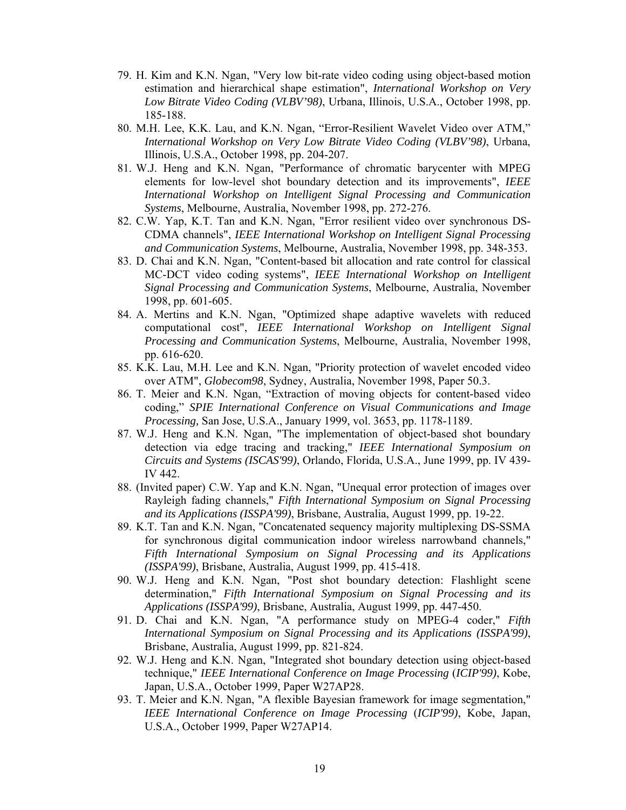- 79. H. Kim and K.N. Ngan, "Very low bit-rate video coding using object-based motion estimation and hierarchical shape estimation", *International Workshop on Very Low Bitrate Video Coding (VLBV'98)*, Urbana, Illinois, U.S.A., October 1998, pp. 185-188.
- 80. M.H. Lee, K.K. Lau, and K.N. Ngan, "Error-Resilient Wavelet Video over ATM," *International Workshop on Very Low Bitrate Video Coding (VLBV'98)*, Urbana, Illinois, U.S.A., October 1998, pp. 204-207.
- 81. W.J. Heng and K.N. Ngan, "Performance of chromatic barycenter with MPEG elements for low-level shot boundary detection and its improvements", *IEEE International Workshop on Intelligent Signal Processing and Communication Systems*, Melbourne, Australia, November 1998, pp. 272-276.
- 82. C.W. Yap, K.T. Tan and K.N. Ngan, "Error resilient video over synchronous DS-CDMA channels", *IEEE International Workshop on Intelligent Signal Processing and Communication Systems*, Melbourne, Australia, November 1998, pp. 348-353.
- 83. D. Chai and K.N. Ngan, "Content-based bit allocation and rate control for classical MC-DCT video coding systems", *IEEE International Workshop on Intelligent Signal Processing and Communication Systems*, Melbourne, Australia, November 1998, pp. 601-605.
- 84. A. Mertins and K.N. Ngan, "Optimized shape adaptive wavelets with reduced computational cost", *IEEE International Workshop on Intelligent Signal Processing and Communication Systems*, Melbourne, Australia, November 1998, pp. 616-620.
- 85. K.K. Lau, M.H. Lee and K.N. Ngan, "Priority protection of wavelet encoded video over ATM", *Globecom98*, Sydney, Australia, November 1998, Paper 50.3.
- 86. T. Meier and K.N. Ngan, "Extraction of moving objects for content-based video coding," *SPIE International Conference on Visual Communications and Image Processing,* San Jose, U.S.A., January 1999, vol. 3653, pp. 1178-1189.
- 87. W.J. Heng and K.N. Ngan, "The implementation of object-based shot boundary detection via edge tracing and tracking," *IEEE International Symposium on Circuits and Systems (ISCAS'99)*, Orlando, Florida, U.S.A., June 1999, pp. IV 439- IV 442.
- 88. (Invited paper) C.W. Yap and K.N. Ngan, "Unequal error protection of images over Rayleigh fading channels," *Fifth International Symposium on Signal Processing and its Applications (ISSPA'99)*, Brisbane, Australia, August 1999, pp. 19-22.
- 89. K.T. Tan and K.N. Ngan, "Concatenated sequency majority multiplexing DS-SSMA for synchronous digital communication indoor wireless narrowband channels," *Fifth International Symposium on Signal Processing and its Applications (ISSPA'99)*, Brisbane, Australia, August 1999, pp. 415-418.
- 90. W.J. Heng and K.N. Ngan, "Post shot boundary detection: Flashlight scene determination," *Fifth International Symposium on Signal Processing and its Applications (ISSPA'99)*, Brisbane, Australia, August 1999, pp. 447-450.
- 91. D. Chai and K.N. Ngan, "A performance study on MPEG-4 coder," *Fifth International Symposium on Signal Processing and its Applications (ISSPA'99)*, Brisbane, Australia, August 1999, pp. 821-824.
- 92. W.J. Heng and K.N. Ngan, "Integrated shot boundary detection using object-based technique," *IEEE International Conference on Image Processing* (*ICIP'99)*, Kobe, Japan, U.S.A., October 1999, Paper W27AP28.
- 93. T. Meier and K.N. Ngan, "A flexible Bayesian framework for image segmentation," *IEEE International Conference on Image Processing* (*ICIP'99)*, Kobe, Japan, U.S.A., October 1999, Paper W27AP14.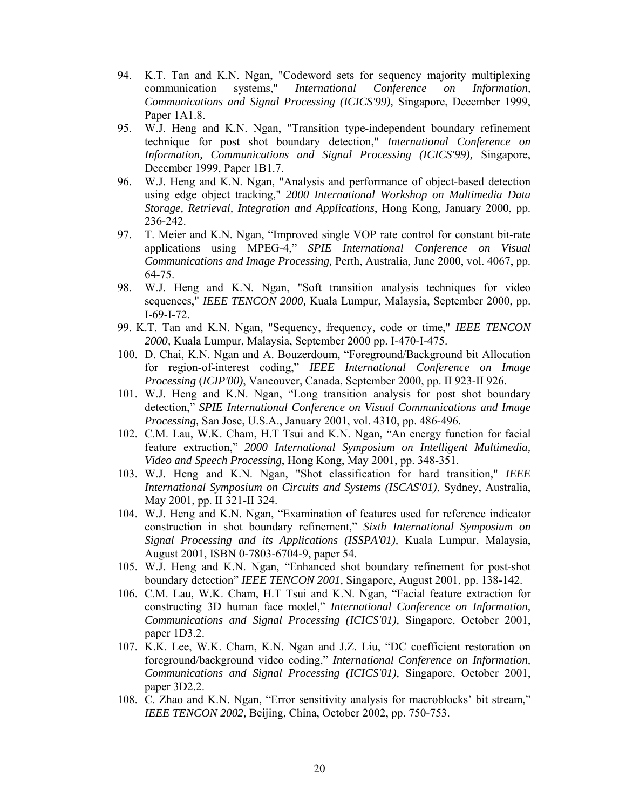- 94. K.T. Tan and K.N. Ngan, "Codeword sets for sequency majority multiplexing communication systems," *International Conference on Information, Communications and Signal Processing (ICICS'99),* Singapore, December 1999, Paper 1A1.8.
- 95. W.J. Heng and K.N. Ngan, "Transition type-independent boundary refinement technique for post shot boundary detection," *International Conference on Information, Communications and Signal Processing (ICICS'99),* Singapore, December 1999, Paper 1B1.7.
- 96. W.J. Heng and K.N. Ngan, "Analysis and performance of object-based detection using edge object tracking," *2000 International Workshop on Multimedia Data Storage, Retrieval, Integration and Applications*, Hong Kong, January 2000, pp. 236-242.
- 97. T. Meier and K.N. Ngan, "Improved single VOP rate control for constant bit-rate applications using MPEG-4," *SPIE International Conference on Visual Communications and Image Processing,* Perth, Australia, June 2000, vol. 4067, pp. 64-75.
- 98. W.J. Heng and K.N. Ngan, "Soft transition analysis techniques for video sequences," *IEEE TENCON 2000,* Kuala Lumpur, Malaysia, September 2000, pp. I-69-I-72.
- 99. K.T. Tan and K.N. Ngan, "Sequency, frequency, code or time," *IEEE TENCON 2000,* Kuala Lumpur, Malaysia, September 2000 pp. I-470-I-475.
- 100. D. Chai, K.N. Ngan and A. Bouzerdoum, "Foreground/Background bit Allocation for region-of-interest coding," *IEEE International Conference on Image Processing* (*ICIP'00)*, Vancouver, Canada, September 2000, pp. II 923-II 926.
- 101. W.J. Heng and K.N. Ngan, "Long transition analysis for post shot boundary detection," *SPIE International Conference on Visual Communications and Image Processing,* San Jose, U.S.A., January 2001, vol. 4310, pp. 486-496.
- 102. C.M. Lau, W.K. Cham, H.T Tsui and K.N. Ngan, "An energy function for facial feature extraction," *2000 International Symposium on Intelligent Multimedia, Video and Speech Processing*, Hong Kong, May 2001, pp. 348-351.
- 103. W.J. Heng and K.N. Ngan, "Shot classification for hard transition," *IEEE International Symposium on Circuits and Systems (ISCAS'01)*, Sydney, Australia, May 2001, pp. II 321-II 324.
- 104. W.J. Heng and K.N. Ngan, "Examination of features used for reference indicator construction in shot boundary refinement," *Sixth International Symposium on Signal Processing and its Applications (ISSPA'01),* Kuala Lumpur, Malaysia, August 2001, ISBN 0-7803-6704-9, paper 54.
- 105. W.J. Heng and K.N. Ngan, "Enhanced shot boundary refinement for post-shot boundary detection" *IEEE TENCON 2001,* Singapore, August 2001, pp. 138-142.
- 106. C.M. Lau, W.K. Cham, H.T Tsui and K.N. Ngan, "Facial feature extraction for constructing 3D human face model," *International Conference on Information, Communications and Signal Processing (ICICS'01),* Singapore, October 2001, paper 1D3.2.
- 107. K.K. Lee, W.K. Cham, K.N. Ngan and J.Z. Liu, "DC coefficient restoration on foreground/background video coding," *International Conference on Information, Communications and Signal Processing (ICICS'01),* Singapore, October 2001, paper 3D2.2.
- 108. C. Zhao and K.N. Ngan, "Error sensitivity analysis for macroblocks' bit stream," *IEEE TENCON 2002,* Beijing, China, October 2002, pp. 750-753.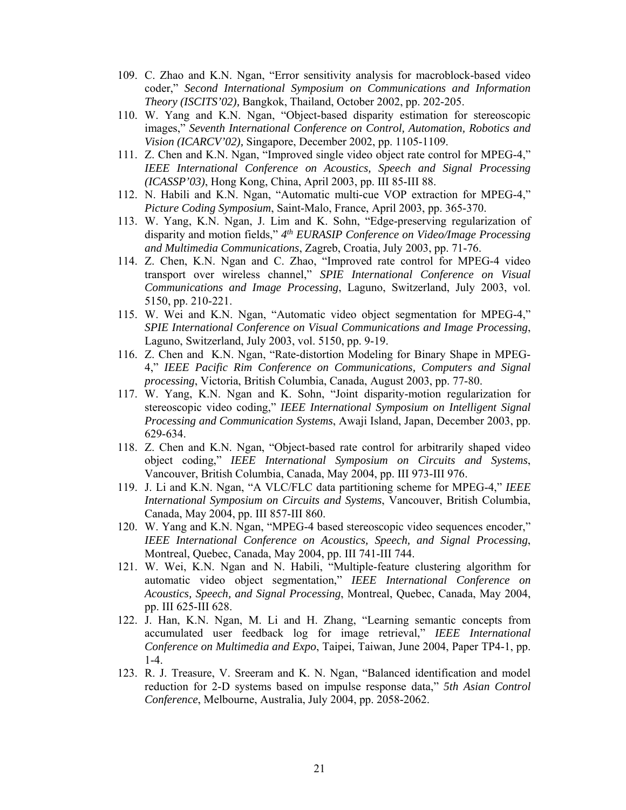- 109. C. Zhao and K.N. Ngan, "Error sensitivity analysis for macroblock-based video coder," *Second International Symposium on Communications and Information Theory (ISCITS'02),* Bangkok, Thailand, October 2002, pp. 202-205.
- 110. W. Yang and K.N. Ngan, "Object-based disparity estimation for stereoscopic images," *Seventh International Conference on Control, Automation, Robotics and Vision (ICARCV'02),* Singapore, December 2002, pp. 1105-1109.
- 111. Z. Chen and K.N. Ngan, "Improved single video object rate control for MPEG-4," *IEEE International Conference on Acoustics, Speech and Signal Processing (ICASSP'03)*, Hong Kong, China, April 2003, pp. III 85-III 88.
- 112. N. Habili and K.N. Ngan, "Automatic multi-cue VOP extraction for MPEG-4," *Picture Coding Symposium*, Saint-Malo, France, April 2003, pp. 365-370.
- 113. W. Yang, K.N. Ngan, J. Lim and K. Sohn, "Edge-preserving regularization of disparity and motion fields," *4th EURASIP Conference on Video/Image Processing and Multimedia Communications*, Zagreb, Croatia, July 2003, pp. 71-76.
- 114. Z. Chen, K.N. Ngan and C. Zhao, "Improved rate control for MPEG-4 video transport over wireless channel," *SPIE International Conference on Visual Communications and Image Processing*, Laguno, Switzerland, July 2003, vol. 5150, pp. 210-221.
- 115. W. Wei and K.N. Ngan, "Automatic video object segmentation for MPEG-4," *SPIE International Conference on Visual Communications and Image Processing*, Laguno, Switzerland, July 2003, vol. 5150, pp. 9-19.
- 116. Z. Chen and K.N. Ngan, "Rate-distortion Modeling for Binary Shape in MPEG-4," *IEEE Pacific Rim Conference on Communications, Computers and Signal processing*, Victoria, British Columbia, Canada, August 2003, pp. 77-80.
- 117. W. Yang, K.N. Ngan and K. Sohn, "Joint disparity-motion regularization for stereoscopic video coding," *IEEE International Symposium on Intelligent Signal Processing and Communication Systems*, Awaji Island, Japan, December 2003, pp. 629-634.
- 118. Z. Chen and K.N. Ngan, "Object-based rate control for arbitrarily shaped video object coding," *IEEE International Symposium on Circuits and Systems*, Vancouver, British Columbia, Canada, May 2004, pp. III 973-III 976.
- 119. J. Li and K.N. Ngan, "A VLC/FLC data partitioning scheme for MPEG-4," *IEEE International Symposium on Circuits and Systems*, Vancouver, British Columbia, Canada, May 2004, pp. III 857-III 860.
- 120. W. Yang and K.N. Ngan, "MPEG-4 based stereoscopic video sequences encoder," *IEEE International Conference on Acoustics, Speech, and Signal Processing*, Montreal, Quebec, Canada, May 2004, pp. III 741-III 744.
- 121. W. Wei, K.N. Ngan and N. Habili, "Multiple-feature clustering algorithm for automatic video object segmentation," *IEEE International Conference on Acoustics, Speech, and Signal Processing*, Montreal, Quebec, Canada, May 2004, pp. III 625-III 628.
- 122. J. Han, K.N. Ngan, M. Li and H. Zhang, "Learning semantic concepts from accumulated user feedback log for image retrieval," *IEEE International Conference on Multimedia and Expo*, Taipei, Taiwan, June 2004, Paper TP4-1, pp. 1-4.
- 123. R. J. Treasure, V. Sreeram and K. N. Ngan, "Balanced identification and model reduction for 2-D systems based on impulse response data," *5th Asian Control Conference*, Melbourne, Australia, July 2004, pp. 2058-2062.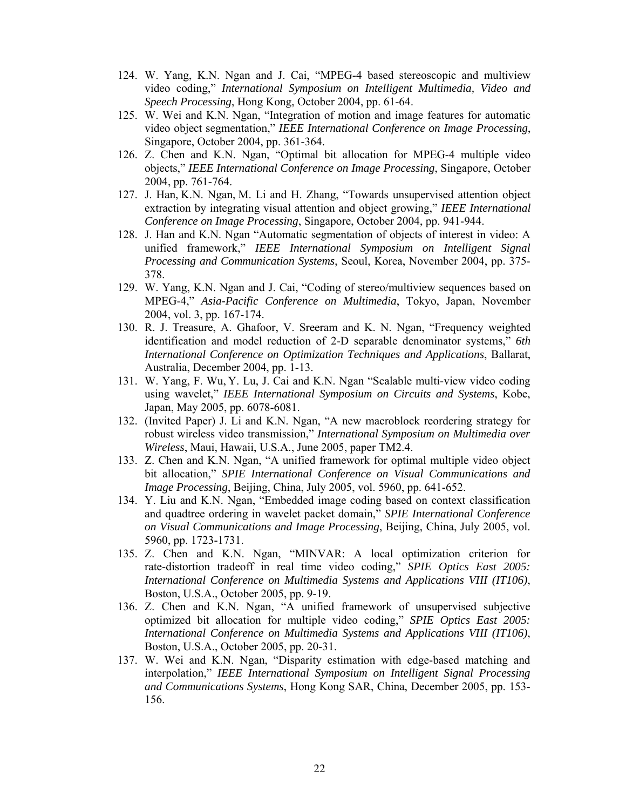- 124. W. Yang, K.N. Ngan and J. Cai, "MPEG-4 based stereoscopic and multiview video coding," *International Symposium on Intelligent Multimedia, Video and Speech Processing*, Hong Kong, October 2004, pp. 61-64.
- 125. W. Wei and K.N. Ngan, "Integration of motion and image features for automatic video object segmentation," *IEEE International Conference on Image Processing*, Singapore, October 2004, pp. 361-364.
- 126. Z. Chen and K.N. Ngan, "Optimal bit allocation for MPEG-4 multiple video objects," *IEEE International Conference on Image Processing*, Singapore, October 2004, pp. 761-764.
- 127. J. Han, K.N. Ngan, M. Li and H. Zhang, "Towards unsupervised attention object extraction by integrating visual attention and object growing," *IEEE International Conference on Image Processing*, Singapore, October 2004, pp. 941-944.
- 128. J. Han and K.N. Ngan "Automatic segmentation of objects of interest in video: A unified framework," *IEEE International Symposium on Intelligent Signal Processing and Communication Systems*, Seoul, Korea, November 2004, pp. 375- 378.
- 129. W. Yang, K.N. Ngan and J. Cai, "Coding of stereo/multiview sequences based on MPEG-4," *Asia-Pacific Conference on Multimedia*, Tokyo, Japan, November 2004, vol. 3, pp. 167-174.
- 130. R. J. Treasure, A. Ghafoor, V. Sreeram and K. N. Ngan, "Frequency weighted identification and model reduction of 2-D separable denominator systems," *6th International Conference on Optimization Techniques and Applications*, Ballarat, Australia, December 2004, pp. 1-13.
- 131. W. Yang, F. Wu, Y. Lu, J. Cai and K.N. Ngan "Scalable multi-view video coding using wavelet," *IEEE International Symposium on Circuits and Systems*, Kobe, Japan, May 2005, pp. 6078-6081.
- 132. (Invited Paper) J. Li and K.N. Ngan, "A new macroblock reordering strategy for robust wireless video transmission," *International Symposium on Multimedia over Wireless*, Maui, Hawaii, U.S.A., June 2005, paper TM2.4.
- 133. Z. Chen and K.N. Ngan, "A unified framework for optimal multiple video object bit allocation," *SPIE International Conference on Visual Communications and Image Processing*, Beijing, China, July 2005, vol. 5960, pp. 641-652.
- 134. Y. Liu and K.N. Ngan, "Embedded image coding based on context classification and quadtree ordering in wavelet packet domain," *SPIE International Conference on Visual Communications and Image Processing*, Beijing, China, July 2005, vol. 5960, pp. 1723-1731.
- 135. Z. Chen and K.N. Ngan, "MINVAR: A local optimization criterion for rate-distortion tradeoff in real time video coding," *SPIE Optics East 2005: International Conference on Multimedia Systems and Applications VIII (IT106)*, Boston, U.S.A., October 2005, pp. 9-19.
- 136. Z. Chen and K.N. Ngan, "A unified framework of unsupervised subjective optimized bit allocation for multiple video coding," *SPIE Optics East 2005: International Conference on Multimedia Systems and Applications VIII (IT106)*, Boston, U.S.A., October 2005, pp. 20-31.
- 137. W. Wei and K.N. Ngan, "Disparity estimation with edge-based matching and interpolation," *IEEE International Symposium on Intelligent Signal Processing and Communications Systems*, Hong Kong SAR, China, December 2005, pp. 153- 156.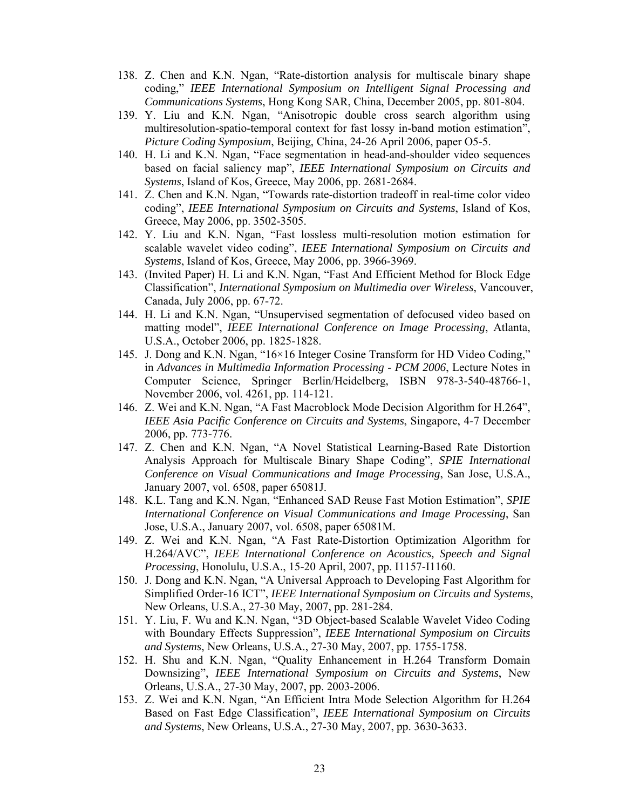- 138. Z. Chen and K.N. Ngan, "Rate-distortion analysis for multiscale binary shape coding," *IEEE International Symposium on Intelligent Signal Processing and Communications Systems*, Hong Kong SAR, China, December 2005, pp. 801-804.
- 139. Y. Liu and K.N. Ngan, "Anisotropic double cross search algorithm using multiresolution-spatio-temporal context for fast lossy in-band motion estimation", *Picture Coding Symposium*, Beijing, China, 24-26 April 2006, paper O5-5.
- 140. H. Li and K.N. Ngan, "Face segmentation in head-and-shoulder video sequences based on facial saliency map", *IEEE International Symposium on Circuits and Systems*, Island of Kos, Greece, May 2006, pp. 2681-2684.
- 141. Z. Chen and K.N. Ngan, "Towards rate-distortion tradeoff in real-time color video coding", *IEEE International Symposium on Circuits and Systems*, Island of Kos, Greece, May 2006, pp. 3502-3505.
- 142. Y. Liu and K.N. Ngan, "Fast lossless multi-resolution motion estimation for scalable wavelet video coding", *IEEE International Symposium on Circuits and Systems*, Island of Kos, Greece, May 2006, pp. 3966-3969.
- 143. (Invited Paper) H. Li and K.N. Ngan, "Fast And Efficient Method for Block Edge Classification", *International Symposium on Multimedia over Wireless*, Vancouver, Canada, July 2006, pp. 67-72.
- 144. H. Li and K.N. Ngan, "Unsupervised segmentation of defocused video based on matting model", *IEEE International Conference on Image Processing*, Atlanta, U.S.A., October 2006, pp. 1825-1828.
- 145. J. Dong and K.N. Ngan, "16×16 Integer Cosine Transform for HD Video Coding," in *Advances in Multimedia Information Processing - PCM 2006*, Lecture Notes in Computer Science, Springer Berlin/Heidelberg, ISBN 978-3-540-48766-1, November 2006, vol. 4261, pp. 114-121.
- 146. Z. Wei and K.N. Ngan, "A Fast Macroblock Mode Decision Algorithm for H.264", *IEEE Asia Pacific Conference on Circuits and Systems*, Singapore, 4-7 December 2006, pp. 773-776.
- 147. Z. Chen and K.N. Ngan, "A Novel Statistical Learning-Based Rate Distortion Analysis Approach for Multiscale Binary Shape Coding", *SPIE International Conference on Visual Communications and Image Processing*, San Jose, U.S.A., January 2007, vol. 6508, paper 65081J.
- 148. K.L. Tang and K.N. Ngan, "Enhanced SAD Reuse Fast Motion Estimation", *SPIE International Conference on Visual Communications and Image Processing*, San Jose, U.S.A., January 2007, vol. 6508, paper 65081M.
- 149. Z. Wei and K.N. Ngan, "A Fast Rate-Distortion Optimization Algorithm for H.264/AVC", *IEEE International Conference on Acoustics, Speech and Signal Processing*, Honolulu, U.S.A., 15-20 April, 2007, pp. I1157-I1160.
- 150. J. Dong and K.N. Ngan, "A Universal Approach to Developing Fast Algorithm for Simplified Order-16 ICT", *IEEE International Symposium on Circuits and Systems*, New Orleans, U.S.A., 27-30 May, 2007, pp. 281-284.
- 151. Y. Liu, F. Wu and K.N. Ngan, "3D Object-based Scalable Wavelet Video Coding with Boundary Effects Suppression", *IEEE International Symposium on Circuits and Systems*, New Orleans, U.S.A., 27-30 May, 2007, pp. 1755-1758.
- 152. H. Shu and K.N. Ngan, "Quality Enhancement in H.264 Transform Domain Downsizing", *IEEE International Symposium on Circuits and Systems*, New Orleans, U.S.A., 27-30 May, 2007, pp. 2003-2006.
- 153. Z. Wei and K.N. Ngan, "An Efficient Intra Mode Selection Algorithm for H.264 Based on Fast Edge Classification", *IEEE International Symposium on Circuits and Systems*, New Orleans, U.S.A., 27-30 May, 2007, pp. 3630-3633.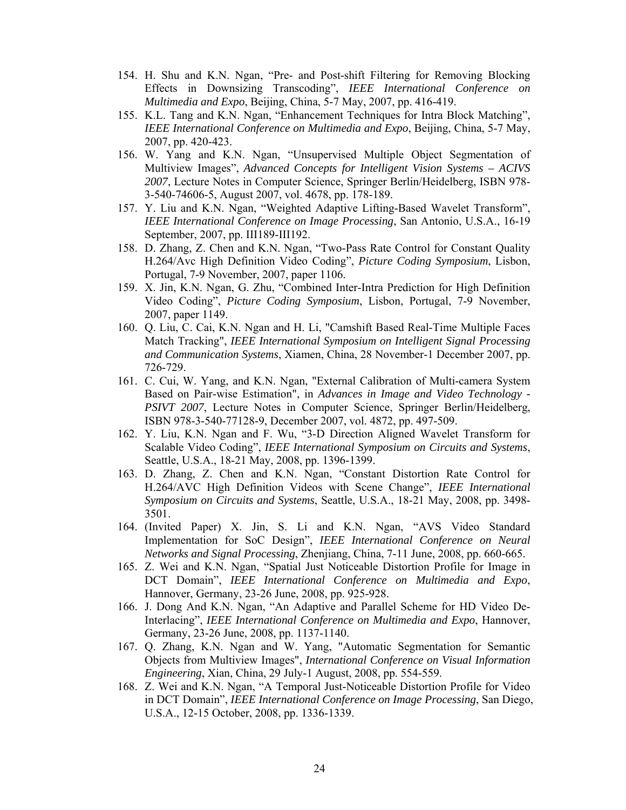- 154. H. Shu and K.N. Ngan, "Pre- and Post-shift Filtering for Removing Blocking Effects in Downsizing Transcoding", *IEEE International Conference on Multimedia and Expo*, Beijing, China, 5-7 May, 2007, pp. 416-419.
- 155. K.L. Tang and K.N. Ngan, "Enhancement Techniques for Intra Block Matching", *IEEE International Conference on Multimedia and Expo*, Beijing, China, 5-7 May, 2007, pp. 420-423.
- 156. W. Yang and K.N. Ngan, "Unsupervised Multiple Object Segmentation of Multiview Images", *Advanced Concepts for Intelligent Vision Systems – ACIVS 2007*, Lecture Notes in Computer Science, Springer Berlin/Heidelberg, ISBN 978- 3-540-74606-5, August 2007, vol. 4678, pp. 178-189.
- 157. Y. Liu and K.N. Ngan, "Weighted Adaptive Lifting-Based Wavelet Transform", *IEEE International Conference on Image Processing*, San Antonio, U.S.A., 16-19 September, 2007, pp. III189-III192.
- 158. D. Zhang, Z. Chen and K.N. Ngan, "Two-Pass Rate Control for Constant Quality H.264/Avc High Definition Video Coding", *Picture Coding Symposium*, Lisbon, Portugal, 7-9 November, 2007, paper 1106.
- 159. X. Jin, K.N. Ngan, G. Zhu, "Combined Inter-Intra Prediction for High Definition Video Coding", *Picture Coding Symposium*, Lisbon, Portugal, 7-9 November, 2007, paper 1149.
- 160. Q. Liu, C. Cai, K.N. Ngan and H. Li, "Camshift Based Real-Time Multiple Faces Match Tracking", *IEEE International Symposium on Intelligent Signal Processing and Communication Systems*, Xiamen, China, 28 November-1 December 2007, pp. 726-729.
- 161. C. Cui, W. Yang, and K.N. Ngan, "External Calibration of Multi-camera System Based on Pair-wise Estimation", in *Advances in Image and Video Technology - PSIVT 2007*, Lecture Notes in Computer Science, Springer Berlin/Heidelberg, ISBN 978-3-540-77128-9, December 2007, vol. 4872, pp. 497-509.
- 162. Y. Liu, K.N. Ngan and F. Wu, "3-D Direction Aligned Wavelet Transform for Scalable Video Coding", *IEEE International Symposium on Circuits and Systems*, Seattle, U.S.A., 18-21 May, 2008, pp. 1396-1399.
- 163. D. Zhang, Z. Chen and K.N. Ngan, "Constant Distortion Rate Control for H.264/AVC High Definition Videos with Scene Change", *IEEE International Symposium on Circuits and Systems*, Seattle, U.S.A., 18-21 May, 2008, pp. 3498- 3501.
- 164. (Invited Paper) X. Jin, S. Li and K.N. Ngan, "AVS Video Standard Implementation for SoC Design", *IEEE International Conference on Neural Networks and Signal Processing*, Zhenjiang, China, 7-11 June, 2008, pp. 660-665.
- 165. Z. Wei and K.N. Ngan, "Spatial Just Noticeable Distortion Profile for Image in DCT Domain", *IEEE International Conference on Multimedia and Expo*, Hannover, Germany, 23-26 June, 2008, pp. 925-928.
- 166. J. Dong And K.N. Ngan, "An Adaptive and Parallel Scheme for HD Video De-Interlacing", *IEEE International Conference on Multimedia and Expo*, Hannover, Germany, 23-26 June, 2008, pp. 1137-1140.
- 167. Q. Zhang, K.N. Ngan and W. Yang, "Automatic Segmentation for Semantic Objects from Multiview Images", *International Conference on Visual Information Engineering*, Xian, China, 29 July-1 August, 2008, pp. 554-559.
- 168. Z. Wei and K.N. Ngan, "A Temporal Just-Noticeable Distortion Profile for Video in DCT Domain", *IEEE International Conference on Image Processing*, San Diego, U.S.A., 12-15 October, 2008, pp. 1336-1339.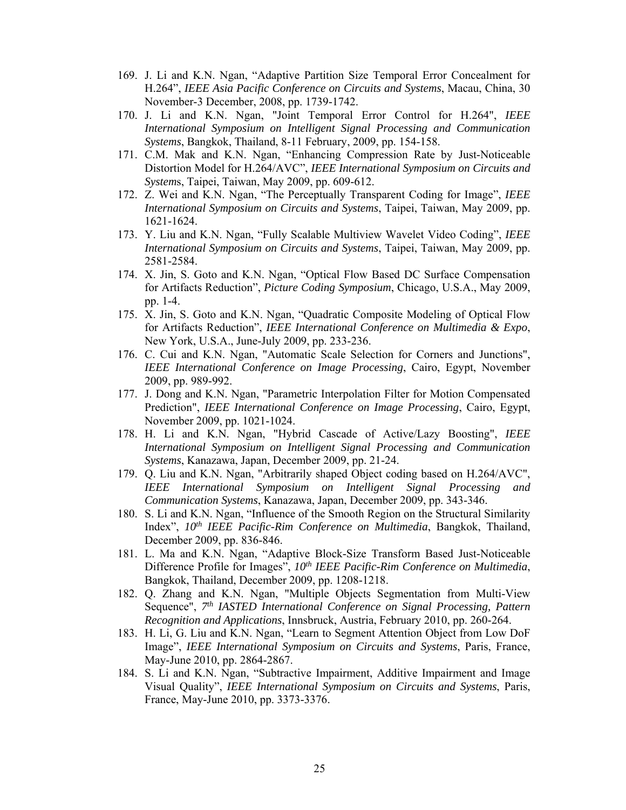- 169. J. Li and K.N. Ngan, "Adaptive Partition Size Temporal Error Concealment for H.264", *IEEE Asia Pacific Conference on Circuits and Systems*, Macau, China, 30 November-3 December, 2008, pp. 1739-1742.
- 170. J. Li and K.N. Ngan, "Joint Temporal Error Control for H.264", *IEEE International Symposium on Intelligent Signal Processing and Communication Systems*, Bangkok, Thailand, 8-11 February, 2009, pp. 154-158.
- 171. C.M. Mak and K.N. Ngan, "Enhancing Compression Rate by Just-Noticeable Distortion Model for H.264/AVC", *IEEE International Symposium on Circuits and System*s, Taipei, Taiwan, May 2009, pp. 609-612.
- 172. Z. Wei and K.N. Ngan, "The Perceptually Transparent Coding for Image", *IEEE International Symposium on Circuits and Systems*, Taipei, Taiwan, May 2009, pp. 1621-1624.
- 173. Y. Liu and K.N. Ngan, "Fully Scalable Multiview Wavelet Video Coding", *IEEE International Symposium on Circuits and Systems*, Taipei, Taiwan, May 2009, pp. 2581-2584.
- 174. X. Jin, S. Goto and K.N. Ngan, "Optical Flow Based DC Surface Compensation for Artifacts Reduction", *Picture Coding Symposium*, Chicago, U.S.A., May 2009, pp. 1-4.
- 175. X. Jin, S. Goto and K.N. Ngan, "Quadratic Composite Modeling of Optical Flow for Artifacts Reduction", *IEEE International Conference on Multimedia & Expo*, New York, U.S.A., June-July 2009, pp. 233-236.
- 176. C. Cui and K.N. Ngan, "Automatic Scale Selection for Corners and Junctions", *IEEE International Conference on Image Processing*, Cairo, Egypt, November 2009, pp. 989-992.
- 177. J. Dong and K.N. Ngan, "Parametric Interpolation Filter for Motion Compensated Prediction", *IEEE International Conference on Image Processing*, Cairo, Egypt, November 2009, pp. 1021-1024.
- 178. H. Li and K.N. Ngan, "Hybrid Cascade of Active/Lazy Boosting", *IEEE International Symposium on Intelligent Signal Processing and Communication Systems*, Kanazawa, Japan, December 2009, pp. 21-24.
- 179. Q. Liu and K.N. Ngan, "Arbitrarily shaped Object coding based on H.264/AVC", *IEEE International Symposium on Intelligent Signal Processing and Communication Systems*, Kanazawa, Japan, December 2009, pp. 343-346.
- 180. S. Li and K.N. Ngan, "Influence of the Smooth Region on the Structural Similarity Index", *10th IEEE Pacific-Rim Conference on Multimedia*, Bangkok, Thailand, December 2009, pp. 836-846.
- 181. L. Ma and K.N. Ngan, "Adaptive Block-Size Transform Based Just-Noticeable Difference Profile for Images", *10th IEEE Pacific-Rim Conference on Multimedia*, Bangkok, Thailand, December 2009, pp. 1208-1218.
- 182. Q. Zhang and K.N. Ngan, "Multiple Objects Segmentation from Multi-View Sequence", *7th IASTED International Conference on Signal Processing, Pattern Recognition and Applications*, Innsbruck, Austria, February 2010, pp. 260-264.
- 183. H. Li, G. Liu and K.N. Ngan, "Learn to Segment Attention Object from Low DoF Image", *IEEE International Symposium on Circuits and Systems*, Paris, France, May-June 2010, pp. 2864-2867.
- 184. S. Li and K.N. Ngan, "Subtractive Impairment, Additive Impairment and Image Visual Quality", *IEEE International Symposium on Circuits and Systems*, Paris, France, May-June 2010, pp. 3373-3376.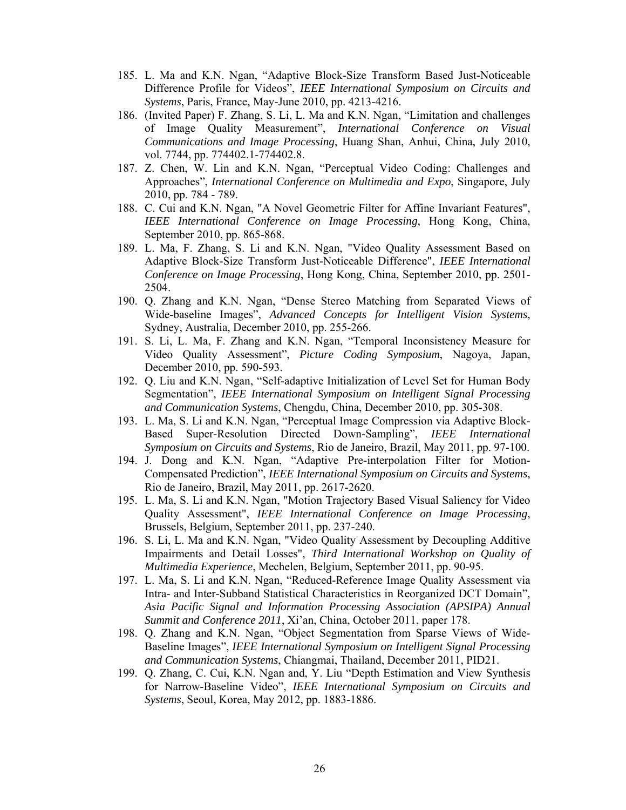- 185. L. Ma and K.N. Ngan, "Adaptive Block-Size Transform Based Just-Noticeable Difference Profile for Videos", *IEEE International Symposium on Circuits and Systems*, Paris, France, May-June 2010, pp. 4213-4216.
- 186. (Invited Paper) F. Zhang, S. Li, L. Ma and K.N. Ngan, "Limitation and challenges of Image Quality Measurement", *International Conference on Visual Communications and Image Processing*, Huang Shan, Anhui, China, July 2010, vol. 7744, pp. 774402.1-774402.8.
- 187. Z. Chen, W. Lin and K.N. Ngan, "Perceptual Video Coding: Challenges and Approaches", *International Conference on Multimedia and Expo*, Singapore, July 2010, pp. 784 - 789.
- 188. C. Cui and K.N. Ngan, "A Novel Geometric Filter for Affine Invariant Features", *IEEE International Conference on Image Processing*, Hong Kong, China, September 2010, pp. 865-868.
- 189. L. Ma, F. Zhang, S. Li and K.N. Ngan, "Video Quality Assessment Based on Adaptive Block-Size Transform Just-Noticeable Difference", *IEEE International Conference on Image Processing*, Hong Kong, China, September 2010, pp. 2501- 2504.
- 190. Q. Zhang and K.N. Ngan, "Dense Stereo Matching from Separated Views of Wide-baseline Images", *Advanced Concepts for Intelligent Vision Systems*, Sydney, Australia, December 2010, pp. 255-266.
- 191. S. Li, L. Ma, F. Zhang and K.N. Ngan, "Temporal Inconsistency Measure for Video Quality Assessment", *Picture Coding Symposium*, Nagoya, Japan, December 2010, pp. 590-593.
- 192. Q. Liu and K.N. Ngan, "Self-adaptive Initialization of Level Set for Human Body Segmentation", *IEEE International Symposium on Intelligent Signal Processing and Communication Systems*, Chengdu, China, December 2010, pp. 305-308.
- 193. L. Ma, S. Li and K.N. Ngan, "Perceptual Image Compression via Adaptive Block-Based Super-Resolution Directed Down-Sampling", *IEEE International Symposium on Circuits and Systems*, Rio de Janeiro, Brazil, May 2011, pp. 97-100.
- 194. J. Dong and K.N. Ngan, "Adaptive Pre-interpolation Filter for Motion-Compensated Prediction", *IEEE International Symposium on Circuits and Systems*, Rio de Janeiro, Brazil, May 2011, pp. 2617-2620.
- 195. L. Ma, S. Li and K.N. Ngan, "Motion Trajectory Based Visual Saliency for Video Quality Assessment", *IEEE International Conference on Image Processing*, Brussels, Belgium, September 2011, pp. 237-240.
- 196. S. Li, L. Ma and K.N. Ngan, "Video Quality Assessment by Decoupling Additive Impairments and Detail Losses", *Third International Workshop on Quality of Multimedia Experience*, Mechelen, Belgium, September 2011, pp. 90-95.
- 197. L. Ma, S. Li and K.N. Ngan, "Reduced-Reference Image Quality Assessment via Intra- and Inter-Subband Statistical Characteristics in Reorganized DCT Domain", *Asia Pacific Signal and Information Processing Association (APSIPA) Annual Summit and Conference 2011*, Xi'an, China, October 2011, paper 178.
- 198. Q. Zhang and K.N. Ngan, "Object Segmentation from Sparse Views of Wide-Baseline Images", *IEEE International Symposium on Intelligent Signal Processing and Communication Systems*, Chiangmai, Thailand, December 2011, PID21.
- 199. Q. Zhang, C. Cui, K.N. Ngan and, Y. Liu "Depth Estimation and View Synthesis for Narrow-Baseline Video", *IEEE International Symposium on Circuits and Systems*, Seoul, Korea, May 2012, pp. 1883-1886.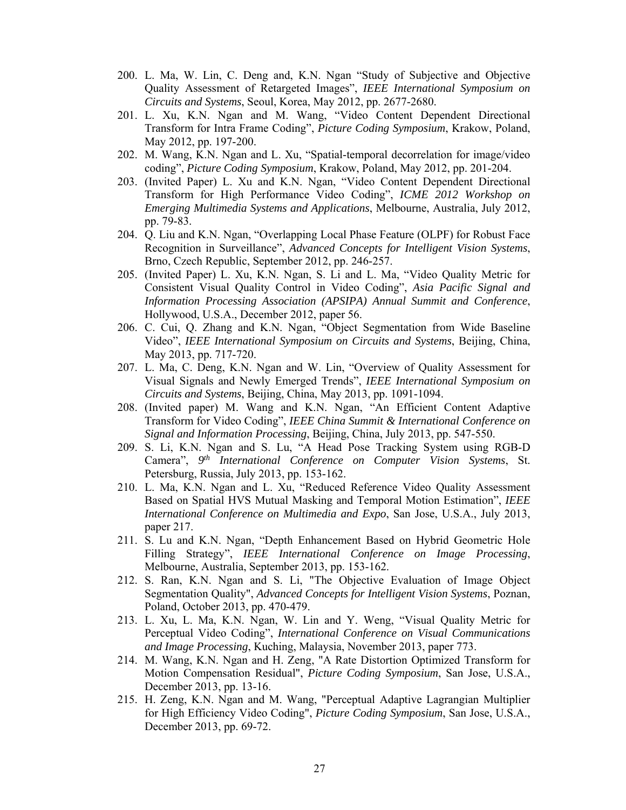- 200. L. Ma, W. Lin, C. Deng and, K.N. Ngan "Study of Subjective and Objective Quality Assessment of Retargeted Images", *IEEE International Symposium on Circuits and Systems*, Seoul, Korea, May 2012, pp. 2677-2680.
- 201. L. Xu, K.N. Ngan and M. Wang, "Video Content Dependent Directional Transform for Intra Frame Coding", *Picture Coding Symposium*, Krakow, Poland, May 2012, pp. 197-200.
- 202. M. Wang, K.N. Ngan and L. Xu, "Spatial-temporal decorrelation for image/video coding", *Picture Coding Symposium*, Krakow, Poland, May 2012, pp. 201-204.
- 203. (Invited Paper) L. Xu and K.N. Ngan, "Video Content Dependent Directional Transform for High Performance Video Coding", *ICME 2012 Workshop on Emerging Multimedia Systems and Applications*, Melbourne, Australia, July 2012, pp. 79-83.
- 204. Q. Liu and K.N. Ngan, "Overlapping Local Phase Feature (OLPF) for Robust Face Recognition in Surveillance", *Advanced Concepts for Intelligent Vision Systems*, Brno, Czech Republic, September 2012, pp. 246-257.
- 205. (Invited Paper) L. Xu, K.N. Ngan, S. Li and L. Ma, "Video Quality Metric for Consistent Visual Quality Control in Video Coding", *Asia Pacific Signal and Information Processing Association (APSIPA) Annual Summit and Conference*, Hollywood, U.S.A., December 2012, paper 56.
- 206. C. Cui, Q. Zhang and K.N. Ngan, "Object Segmentation from Wide Baseline Video", *IEEE International Symposium on Circuits and Systems*, Beijing, China, May 2013, pp. 717-720.
- 207. L. Ma, C. Deng, K.N. Ngan and W. Lin, "Overview of Quality Assessment for Visual Signals and Newly Emerged Trends", *IEEE International Symposium on Circuits and Systems*, Beijing, China, May 2013, pp. 1091-1094.
- 208. (Invited paper) M. Wang and K.N. Ngan, "An Efficient Content Adaptive Transform for Video Coding", *IEEE China Summit & International Conference on Signal and Information Processing*, Beijing, China, July 2013, pp. 547-550.
- 209. S. Li, K.N. Ngan and S. Lu, "A Head Pose Tracking System using RGB-D Camera", *9th International Conference on Computer Vision Systems*, St. Petersburg, Russia, July 2013, pp. 153-162.
- 210. L. Ma, K.N. Ngan and L. Xu, "Reduced Reference Video Quality Assessment Based on Spatial HVS Mutual Masking and Temporal Motion Estimation", *IEEE International Conference on Multimedia and Expo*, San Jose, U.S.A., July 2013, paper 217.
- 211. S. Lu and K.N. Ngan, "Depth Enhancement Based on Hybrid Geometric Hole Filling Strategy", *IEEE International Conference on Image Processing*, Melbourne, Australia, September 2013, pp. 153-162.
- 212. S. Ran, K.N. Ngan and S. Li, "The Objective Evaluation of Image Object Segmentation Quality", *Advanced Concepts for Intelligent Vision Systems*, Poznan, Poland, October 2013, pp. 470-479.
- 213. L. Xu, L. Ma, K.N. Ngan, W. Lin and Y. Weng, "Visual Quality Metric for Perceptual Video Coding", *International Conference on Visual Communications and Image Processing*, Kuching, Malaysia, November 2013, paper 773.
- 214. M. Wang, K.N. Ngan and H. Zeng, "A Rate Distortion Optimized Transform for Motion Compensation Residual", *Picture Coding Symposium*, San Jose, U.S.A., December 2013, pp. 13-16.
- 215. H. Zeng, K.N. Ngan and M. Wang, "Perceptual Adaptive Lagrangian Multiplier for High Efficiency Video Coding", *Picture Coding Symposium*, San Jose, U.S.A., December 2013, pp. 69-72.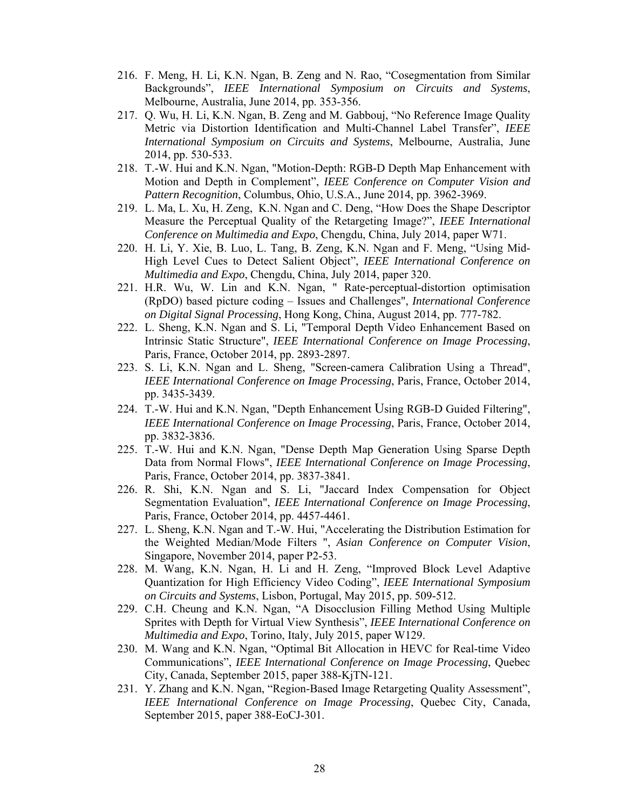- 216. F. Meng, H. Li, K.N. Ngan, B. Zeng and N. Rao, "Cosegmentation from Similar Backgrounds", *IEEE International Symposium on Circuits and Systems*, Melbourne, Australia, June 2014, pp. 353-356.
- 217. Q. Wu, H. Li, K.N. Ngan, B. Zeng and M. Gabbouj, "No Reference Image Quality Metric via Distortion Identification and Multi-Channel Label Transfer", *IEEE International Symposium on Circuits and Systems*, Melbourne, Australia, June 2014, pp. 530-533.
- 218. T.-W. Hui and K.N. Ngan, "Motion-Depth: RGB-D Depth Map Enhancement with Motion and Depth in Complement", *IEEE Conference on Computer Vision and Pattern Recognition*, Columbus, Ohio, U.S.A., June 2014, pp. 3962-3969.
- 219. L. Ma, L. Xu, H. Zeng, K.N. Ngan and C. Deng, "How Does the Shape Descriptor Measure the Perceptual Quality of the Retargeting Image?", *IEEE International Conference on Multimedia and Expo*, Chengdu, China, July 2014, paper W71.
- 220. H. Li, Y. Xie, B. Luo, L. Tang, B. Zeng, K.N. Ngan and F. Meng, "Using Mid-High Level Cues to Detect Salient Object", *IEEE International Conference on Multimedia and Expo*, Chengdu, China, July 2014, paper 320.
- 221. H.R. Wu, W. Lin and K.N. Ngan, " Rate-perceptual-distortion optimisation (RpDO) based picture coding – Issues and Challenges", *International Conference on Digital Signal Processing*, Hong Kong, China, August 2014, pp. 777-782.
- 222. L. Sheng, K.N. Ngan and S. Li, "Temporal Depth Video Enhancement Based on Intrinsic Static Structure", *IEEE International Conference on Image Processing*, Paris, France, October 2014, pp. 2893-2897.
- 223. S. Li, K.N. Ngan and L. Sheng, "Screen-camera Calibration Using a Thread", *IEEE International Conference on Image Processing*, Paris, France, October 2014, pp. 3435-3439.
- 224. T.-W. Hui and K.N. Ngan, "Depth Enhancement Using RGB-D Guided Filtering", *IEEE International Conference on Image Processing*, Paris, France, October 2014, pp. 3832-3836.
- 225. T.-W. Hui and K.N. Ngan, "Dense Depth Map Generation Using Sparse Depth Data from Normal Flows", *IEEE International Conference on Image Processing*, Paris, France, October 2014, pp. 3837-3841.
- 226. R. Shi, K.N. Ngan and S. Li, "Jaccard Index Compensation for Object Segmentation Evaluation", *IEEE International Conference on Image Processing*, Paris, France, October 2014, pp. 4457-4461.
- 227. L. Sheng, K.N. Ngan and T.-W. Hui, "Accelerating the Distribution Estimation for the Weighted Median/Mode Filters ", *Asian Conference on Computer Vision*, Singapore, November 2014, paper P2-53.
- 228. M. Wang, K.N. Ngan, H. Li and H. Zeng, "Improved Block Level Adaptive Quantization for High Efficiency Video Coding", *IEEE International Symposium on Circuits and Systems*, Lisbon, Portugal, May 2015, pp. 509-512.
- 229. C.H. Cheung and K.N. Ngan, "A Disocclusion Filling Method Using Multiple Sprites with Depth for Virtual View Synthesis", *IEEE International Conference on Multimedia and Expo*, Torino, Italy, July 2015, paper W129.
- 230. M. Wang and K.N. Ngan, "Optimal Bit Allocation in HEVC for Real-time Video Communications", *IEEE International Conference on Image Processing*, Quebec City, Canada, September 2015, paper 388-KjTN-121.
- 231. Y. Zhang and K.N. Ngan, "Region-Based Image Retargeting Quality Assessment", *IEEE International Conference on Image Processing*, Quebec City, Canada, September 2015, paper 388-EoCJ-301.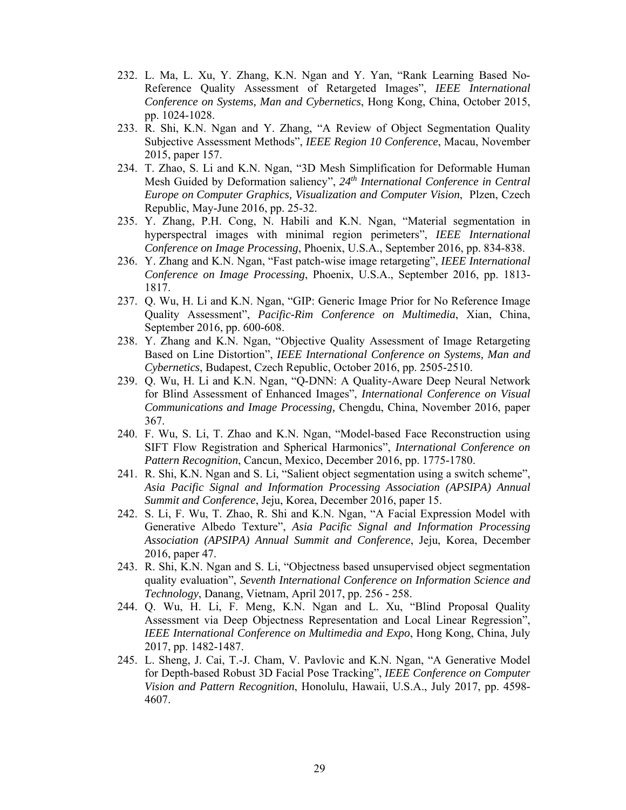- 232. L. Ma, L. Xu, Y. Zhang, K.N. Ngan and Y. Yan, "Rank Learning Based No-Reference Quality Assessment of Retargeted Images", *IEEE International Conference on Systems, Man and Cybernetics*, Hong Kong, China, October 2015, pp. 1024-1028.
- 233. R. Shi, K.N. Ngan and Y. Zhang, "A Review of Object Segmentation Quality Subjective Assessment Methods", *IEEE Region 10 Conference*, Macau, November 2015, paper 157.
- 234. T. Zhao, S. Li and K.N. Ngan, "3D Mesh Simplification for Deformable Human Mesh Guided by Deformation saliency", *24th International Conference in Central Europe on Computer Graphics, Visualization and Computer Vision*, Plzen, Czech Republic, May-June 2016, pp. 25-32.
- 235. Y. Zhang, P.H. Cong, N. Habili and K.N. Ngan, "Material segmentation in hyperspectral images with minimal region perimeters", *IEEE International Conference on Image Processing*, Phoenix, U.S.A., September 2016, pp. 834-838.
- 236. Y. Zhang and K.N. Ngan, "Fast patch-wise image retargeting", *IEEE International Conference on Image Processing*, Phoenix, U.S.A., September 2016, pp. 1813- 1817.
- 237. Q. Wu, H. Li and K.N. Ngan, "GIP: Generic Image Prior for No Reference Image Quality Assessment", *Pacific-Rim Conference on Multimedia*, Xian, China, September 2016, pp. 600-608.
- 238. Y. Zhang and K.N. Ngan, "Objective Quality Assessment of Image Retargeting Based on Line Distortion", *IEEE International Conference on Systems, Man and Cybernetics*, Budapest, Czech Republic, October 2016, pp. 2505-2510.
- 239. Q. Wu, H. Li and K.N. Ngan, "Q-DNN: A Quality-Aware Deep Neural Network for Blind Assessment of Enhanced Images", *International Conference on Visual Communications and Image Processing,* Chengdu, China, November 2016, paper 367.
- 240. F. Wu, S. Li, T. Zhao and K.N. Ngan, "Model-based Face Reconstruction using SIFT Flow Registration and Spherical Harmonics", *International Conference on Pattern Recognition*, Cancun, Mexico, December 2016, pp. 1775-1780.
- 241. R. Shi, K.N. Ngan and S. Li, "Salient object segmentation using a switch scheme", *Asia Pacific Signal and Information Processing Association (APSIPA) Annual Summit and Conference*, Jeju, Korea, December 2016, paper 15.
- 242. S. Li, F. Wu, T. Zhao, R. Shi and K.N. Ngan, "A Facial Expression Model with Generative Albedo Texture", *Asia Pacific Signal and Information Processing Association (APSIPA) Annual Summit and Conference*, Jeju, Korea, December 2016, paper 47.
- 243. R. Shi, K.N. Ngan and S. Li, "Objectness based unsupervised object segmentation quality evaluation", *Seventh International Conference on Information Science and Technology*, Danang, Vietnam, April 2017, pp. 256 - 258.
- 244. Q. Wu, H. Li, F. Meng, K.N. Ngan and L. Xu, "Blind Proposal Quality Assessment via Deep Objectness Representation and Local Linear Regression", *IEEE International Conference on Multimedia and Expo*, Hong Kong, China, July 2017, pp. 1482-1487.
- 245. L. Sheng, J. Cai, T.-J. Cham, V. Pavlovic and K.N. Ngan, "A Generative Model for Depth-based Robust 3D Facial Pose Tracking", *IEEE Conference on Computer Vision and Pattern Recognition*, Honolulu, Hawaii, U.S.A., July 2017, pp. 4598- 4607.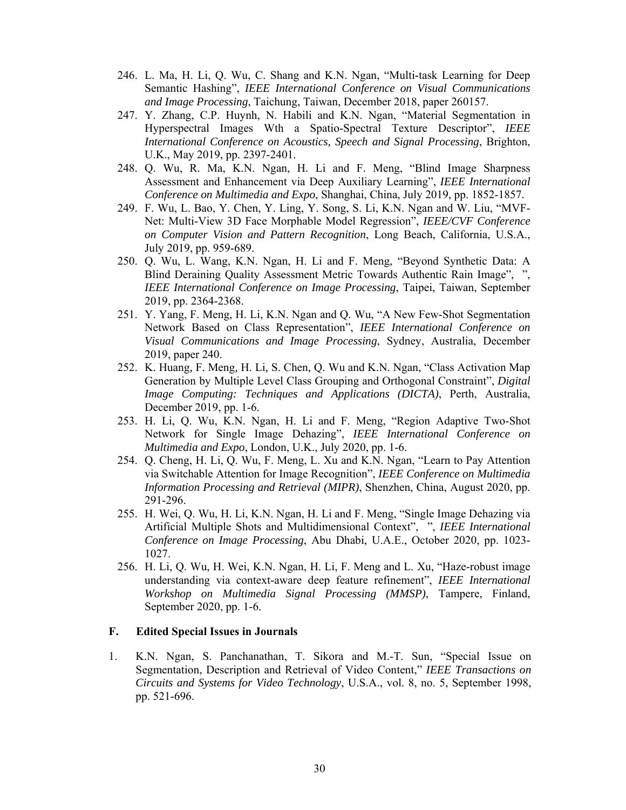- 246. L. Ma, H. Li, Q. Wu, C. Shang and K.N. Ngan, "Multi-task Learning for Deep Semantic Hashing", *IEEE International Conference on Visual Communications and Image Processing*, Taichung, Taiwan, December 2018, paper 260157.
- 247. Y. Zhang, C.P. Huynh, N. Habili and K.N. Ngan, "Material Segmentation in Hyperspectral Images Wth a Spatio-Spectral Texture Descriptor", *IEEE International Conference on Acoustics, Speech and Signal Processing*, Brighton, U.K., May 2019, pp. 2397-2401.
- 248. Q. Wu, R. Ma, K.N. Ngan, H. Li and F. Meng, "Blind Image Sharpness Assessment and Enhancement via Deep Auxiliary Learning", *IEEE International Conference on Multimedia and Expo*, Shanghai, China, July 2019, pp. 1852-1857.
- 249. F. Wu, L. Bao, Y. Chen, Y. Ling, Y. Song, S. Li, K.N. Ngan and W. Liu, "MVF-Net: Multi-View 3D Face Morphable Model Regression", *IEEE/CVF Conference on Computer Vision and Pattern Recognition*, Long Beach, California, U.S.A., July 2019, pp. 959-689.
- 250. Q. Wu, L. Wang, K.N. Ngan, H. Li and F. Meng, "Beyond Synthetic Data: A Blind Deraining Quality Assessment Metric Towards Authentic Rain Image", ", *IEEE International Conference on Image Processing*, Taipei, Taiwan, September 2019, pp. 2364-2368.
- 251. Y. Yang, F. Meng, H. Li, K.N. Ngan and Q. Wu, "A New Few-Shot Segmentation Network Based on Class Representation", *IEEE International Conference on Visual Communications and Image Processing*, Sydney, Australia, December 2019, paper 240.
- 252. K. Huang*,* F. Meng*,* H. Li*,* S. Chen*,* Q. Wu and K.N. Ngan, "Class Activation Map Generation by Multiple Level Class Grouping and Orthogonal Constraint", *Digital Image Computing: Techniques and Applications (DICTA)*, Perth, Australia, December 2019, pp. 1-6.
- 253. H. Li, Q. Wu, K.N. Ngan, H. Li and F. Meng, "Region Adaptive Two-Shot Network for Single Image Dehazing", *IEEE International Conference on Multimedia and Expo*, London, U.K., July 2020, pp. 1-6.
- 254. Q. Cheng, H. Li, Q. Wu, F. Meng, L. Xu and K.N. Ngan, "Learn to Pay Attention via Switchable Attention for Image Recognition", *IEEE Conference on Multimedia Information Processing and Retrieval (MIPR)*, Shenzhen, China, August 2020, pp. 291-296.
- 255. H. Wei, Q. Wu, H. Li, K.N. Ngan, H. Li and F. Meng, "Single Image Dehazing via Artificial Multiple Shots and Multidimensional Context", ", *IEEE International Conference on Image Processing*, Abu Dhabi, U.A.E., October 2020, pp. 1023- 1027.
- 256. H. Li, Q. Wu, H. Wei, K.N. Ngan, H. Li, F. Meng and L. Xu, "Haze-robust image understanding via context-aware deep feature refinement", *IEEE International Workshop on Multimedia Signal Processing (MMSP)*, Tampere, Finland, September 2020, pp. 1-6.

#### **F. Edited Special Issues in Journals**

1. K.N. Ngan, S. Panchanathan, T. Sikora and M.-T. Sun, "Special Issue on Segmentation, Description and Retrieval of Video Content," *IEEE Transactions on Circuits and Systems for Video Technology*, U.S.A., vol. 8, no. 5, September 1998, pp. 521-696.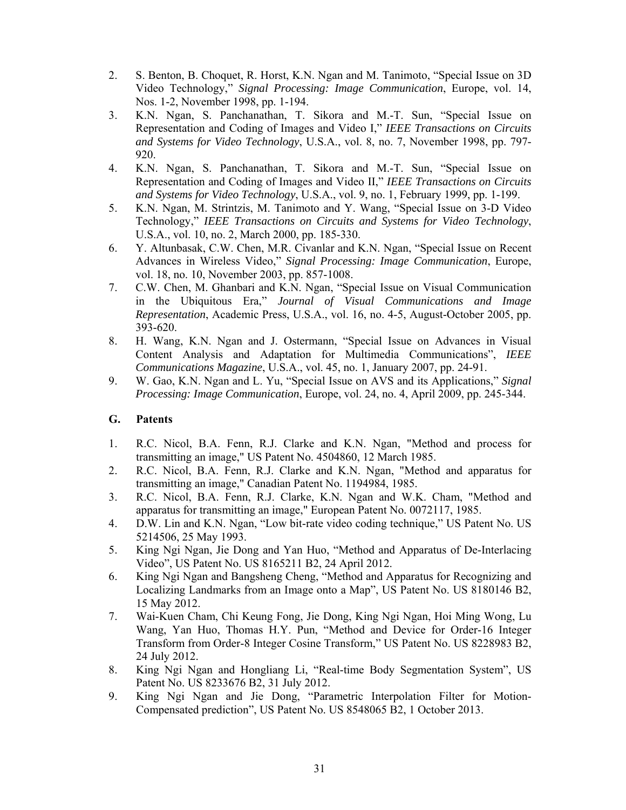- 2. S. Benton, B. Choquet, R. Horst, K.N. Ngan and M. Tanimoto, "Special Issue on 3D Video Technology," *Signal Processing: Image Communication*, Europe, vol. 14, Nos. 1-2, November 1998, pp. 1-194.
- 3. K.N. Ngan, S. Panchanathan, T. Sikora and M.-T. Sun, "Special Issue on Representation and Coding of Images and Video I," *IEEE Transactions on Circuits and Systems for Video Technology*, U.S.A., vol. 8, no. 7, November 1998, pp. 797- 920.
- 4. K.N. Ngan, S. Panchanathan, T. Sikora and M.-T. Sun, "Special Issue on Representation and Coding of Images and Video II," *IEEE Transactions on Circuits and Systems for Video Technology*, U.S.A., vol. 9, no. 1, February 1999, pp. 1-199.
- 5. K.N. Ngan, M. Strintzis, M. Tanimoto and Y. Wang, "Special Issue on 3-D Video Technology," *IEEE Transactions on Circuits and Systems for Video Technology*, U.S.A., vol. 10, no. 2, March 2000, pp. 185-330.
- 6. Y. Altunbasak, C.W. Chen, M.R. Civanlar and K.N. Ngan, "Special Issue on Recent Advances in Wireless Video," *Signal Processing: Image Communication*, Europe, vol. 18, no. 10, November 2003, pp. 857-1008.
- 7. C.W. Chen, M. Ghanbari and K.N. Ngan, "Special Issue on Visual Communication in the Ubiquitous Era," *Journal of Visual Communications and Image Representation*, Academic Press, U.S.A., vol. 16, no. 4-5, August-October 2005, pp. 393-620.
- 8. H. Wang, K.N. Ngan and J. Ostermann, "Special Issue on Advances in Visual Content Analysis and Adaptation for Multimedia Communications", *IEEE Communications Magazine*, U.S.A., vol. 45, no. 1, January 2007, pp. 24-91.
- 9. W. Gao, K.N. Ngan and L. Yu, "Special Issue on AVS and its Applications," *Signal Processing: Image Communication*, Europe, vol. 24, no. 4, April 2009, pp. 245-344.

#### **G. Patents**

- 1. R.C. Nicol, B.A. Fenn, R.J. Clarke and K.N. Ngan, "Method and process for transmitting an image," US Patent No. 4504860, 12 March 1985.
- 2. R.C. Nicol, B.A. Fenn, R.J. Clarke and K.N. Ngan, "Method and apparatus for transmitting an image," Canadian Patent No. 1194984, 1985.
- 3. R.C. Nicol, B.A. Fenn, R.J. Clarke, K.N. Ngan and W.K. Cham, "Method and apparatus for transmitting an image," European Patent No. 0072117, 1985.
- 4. D.W. Lin and K.N. Ngan, "Low bit-rate video coding technique," US Patent No. US 5214506, 25 May 1993.
- 5. King Ngi Ngan, Jie Dong and Yan Huo, "Method and Apparatus of De-Interlacing Video", US Patent No. US 8165211 B2, 24 April 2012.
- 6. King Ngi Ngan and Bangsheng Cheng, "Method and Apparatus for Recognizing and Localizing Landmarks from an Image onto a Map", US Patent No. US 8180146 B2, 15 May 2012.
- 7. Wai-Kuen Cham, Chi Keung Fong, Jie Dong, King Ngi Ngan, Hoi Ming Wong, Lu Wang, Yan Huo, Thomas H.Y. Pun, "Method and Device for Order-16 Integer Transform from Order-8 Integer Cosine Transform," US Patent No. US 8228983 B2, 24 July 2012.
- 8. King Ngi Ngan and Hongliang Li, "Real-time Body Segmentation System", US Patent No. US 8233676 B2, 31 July 2012.
- 9. King Ngi Ngan and Jie Dong, "Parametric Interpolation Filter for Motion-Compensated prediction", US Patent No. US 8548065 B2, 1 October 2013.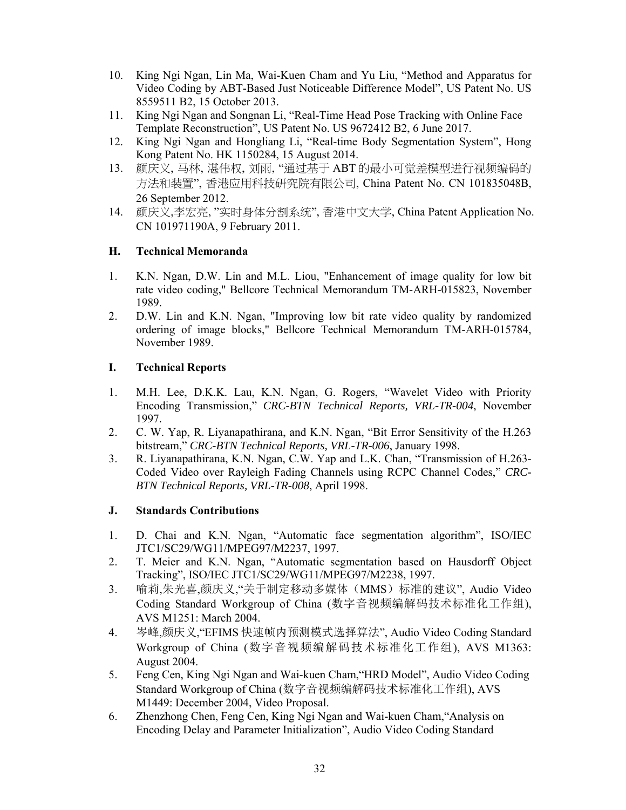- 10. King Ngi Ngan, Lin Ma, Wai-Kuen Cham and Yu Liu, "Method and Apparatus for Video Coding by ABT-Based Just Noticeable Difference Model", US Patent No. US 8559511 B2, 15 October 2013.
- 11. King Ngi Ngan and Songnan Li, "Real-Time Head Pose Tracking with Online Face Template Reconstruction", US Patent No. US 9672412 B2, 6 June 2017.
- 12. King Ngi Ngan and Hongliang Li, "Real-time Body Segmentation System", Hong Kong Patent No. HK 1150284, 15 August 2014.
- 13. 颜庆义, 马林, 湛伟权, 刘雨, "通过基于 ABT 的最小可觉差模型进行视频编码的 方法和装置", 香港应用科技研究院有限公司, China Patent No. CN 101835048B, 26 September 2012.
- 14. 颜庆义,李宏亮, "实时身体分割系统", 香港中文大学, China Patent Application No. CN 101971190A, 9 February 2011.

# **H. Technical Memoranda**

- 1. K.N. Ngan, D.W. Lin and M.L. Liou, "Enhancement of image quality for low bit rate video coding," Bellcore Technical Memorandum TM-ARH-015823, November 1989.
- 2. D.W. Lin and K.N. Ngan, "Improving low bit rate video quality by randomized ordering of image blocks," Bellcore Technical Memorandum TM-ARH-015784, November 1989.

## **I. Technical Reports**

- 1. M.H. Lee, D.K.K. Lau, K.N. Ngan, G. Rogers, "Wavelet Video with Priority Encoding Transmission," *CRC-BTN Technical Reports, VRL-TR-004*, November 1997.
- 2. C. W. Yap, R. Liyanapathirana, and K.N. Ngan, "Bit Error Sensitivity of the H.263 bitstream," *CRC-BTN Technical Reports, VRL-TR-006*, January 1998.
- 3. R. Liyanapathirana, K.N. Ngan, C.W. Yap and L.K. Chan, "Transmission of H.263- Coded Video over Rayleigh Fading Channels using RCPC Channel Codes," *CRC-BTN Technical Reports, VRL-TR-008*, April 1998.

#### **J. Standards Contributions**

- 1. D. Chai and K.N. Ngan, "Automatic face segmentation algorithm", ISO/IEC JTC1/SC29/WG11/MPEG97/M2237, 1997.
- 2. T. Meier and K.N. Ngan, "Automatic segmentation based on Hausdorff Object Tracking", ISO/IEC JTC1/SC29/WG11/MPEG97/M2238, 1997.
- 3. 喻莉,朱光喜,颜庆义,"关于制定移动多媒体(MMS)标准的建议", Audio Video Coding Standard Workgroup of China (数字音视频编解码技术标准化工作组), AVS M1251: March 2004.
- 4. 岑峰,颜庆义,"EFIMS 快速帧内预测模式选择算法", Audio Video Coding Standard Workgroup of China (数字音视频编解码技术标准化工作组), AVS M1363: August 2004.
- 5. Feng Cen, King Ngi Ngan and Wai-kuen Cham,"HRD Model", Audio Video Coding Standard Workgroup of China (数字音视频编解码技术标准化工作组), AVS M1449: December 2004, Video Proposal.
- 6. Zhenzhong Chen, Feng Cen, King Ngi Ngan and Wai-kuen Cham,"Analysis on Encoding Delay and Parameter Initialization", Audio Video Coding Standard